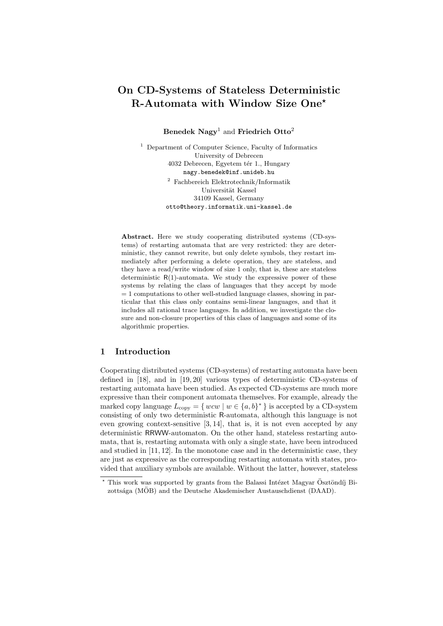# **On CD-Systems of Stateless Deterministic R-Automata with Window Size One***<sup>⋆</sup>*

**Benedek Nagy**<sup>1</sup> and **Friedrich Otto**<sup>2</sup>

<sup>1</sup> Department of Computer Science, Faculty of Informatics University of Debrecen 4032 Debrecen, Egyetem tér 1., Hungary nagy.benedek@inf.unideb.hu

> <sup>2</sup> Fachbereich Elektrotechnik/Informatik Universität Kassel 34109 Kassel, Germany otto@theory.informatik.uni-kassel.de

**Abstract.** Here we study cooperating distributed systems (CD-systems) of restarting automata that are very restricted: they are deterministic, they cannot rewrite, but only delete symbols, they restart immediately after performing a delete operation, they are stateless, and they have a read/write window of size 1 only, that is, these are stateless deterministic  $R(1)$ -automata. We study the expressive power of these systems by relating the class of languages that they accept by mode  $= 1$  computations to other well-studied language classes, showing in particular that this class only contains semi-linear languages, and that it includes all rational trace languages. In addition, we investigate the closure and non-closure properties of this class of languages and some of its algorithmic properties.

# **1 Introduction**

Cooperating distributed systems (CD-systems) of restarting automata have been defined in [18], and in [19, 20] various types of deterministic CD-systems of restarting automata have been studied. As expected CD-systems are much more expressive than their component automata themselves. For example, already the marked copy language  $L_{\text{copy}} = \{ wcw \mid w \in \{a, b\}^* \}$  is accepted by a CD-system consisting of only two deterministic R-automata, although this language is not even growing context-sensitive [3, 14], that is, it is not even accepted by any deterministic RRWW-automaton. On the other hand, stateless restarting automata, that is, restarting automata with only a single state, have been introduced and studied in [11, 12]. In the monotone case and in the deterministic case, they are just as expressive as the corresponding restarting automata with states, provided that auxiliary symbols are available. Without the latter, however, stateless

<sup>&</sup>lt;sup>\*</sup> This work was supported by grants from the Balassi Intézet Magyar Ösztöndíj Bizottsága (MÖB) and the Deutsche Akademischer Austauschdienst (DAAD).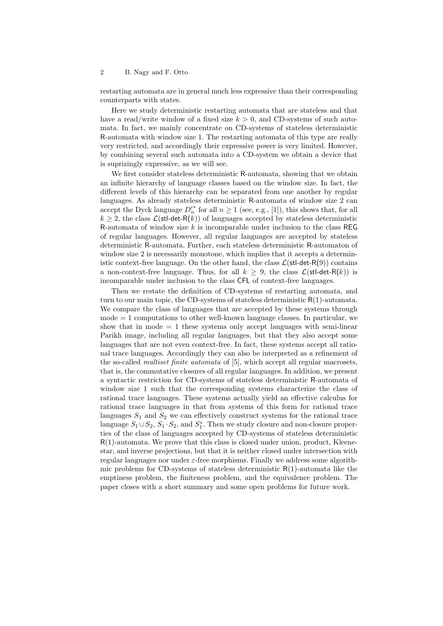restarting automata are in general much less expressive than their corresponding counterparts with states.

Here we study deterministic restarting automata that are stateless and that have a read/write window of a fixed size *k >* 0, and CD-systems of such automata. In fact, we mainly concentrate on CD-systems of stateless deterministic R-automata with window size 1. The restarting automata of this type are really very restricted, and accordingly their expressive power is very limited. However, by combining several such automata into a CD-system we obtain a device that is suprizingly expressive, as we will see.

We first consider stateless deterministic R-automata, showing that we obtain an infinite hierarchy of language classes based on the window size. In fact, the different levels of this hierarchy can be separated from one another by regular languages. As already stateless deterministic R-automata of window size 2 can accept the Dyck language  $D'^{*}_{n}$  for all  $n \geq 1$  (see, e.g., [1]), this shows that, for all  $k \geq 2$ , the class  $\mathcal{L}(\text{stl-det-R}(k))$  of languages accepted by stateless deterministic R-automata of window size *k* is incomparable under inclusion to the class REG of regular languages. However, all regular languages are accepted by stateless deterministic R-automata. Further, each stateless deterministic R-automaton of window size 2 is necessarily monotone, which implies that it accepts a deterministic context-free language. On the other hand, the class  $\mathcal{L}(\text{stl-det-R}(9))$  contains a non-context-free language. Thus, for all  $k \geq 9$ , the class  $\mathcal{L}(\text{stl-det-R}(k))$  is incomparable under inclusion to the class CFL of context-free languages.

Then we restate the definition of CD-systems of restarting automata, and turn to our main topic, the CD-systems of stateless deterministic  $R(1)$ -automata. We compare the class of languages that are accepted by these systems through  $mode = 1$  computations to other well-known language classes. In particular, we show that in mode  $= 1$  these systems only accept languages with semi-linear Parikh image, including all regular languages, but that they also accept some languages that are not even context-free. In fact, these systems accept all rational trace languages. Accordingly they can also be interpreted as a refinement of the so-called *multiset finite automata* of [5], which accept all regular macrosets, that is, the commutative closures of all regular languages. In addition, we present a syntactic restriction for CD-systems of stateless deterministic R-automata of window size 1 such that the corresponding systems characterize the class of rational trace languages. These systems actually yield an effective calculus for rational trace languages in that from systems of this form for rational trace languages  $S_1$  and  $S_2$  we can effectively construct systems for the rational trace language  $S_1 \cup S_2$ ,  $S_1 \cdot S_2$ , and  $S_1^*$ . Then we study closure and non-closure properties of the class of languages accepted by CD-systems of stateless deterministic R(1)-automata. We prove that this class is closed under union, product, Kleenestar, and inverse projections, but that it is neither closed under intersection with regular languages nor under *ε*-free morphisms. Finally we address some algorithmic problems for CD-systems of stateless deterministic  $R(1)$ -automata like the emptiness problem, the finiteness problem, and the equivalence problem. The paper closes with a short summary and some open problems for future work.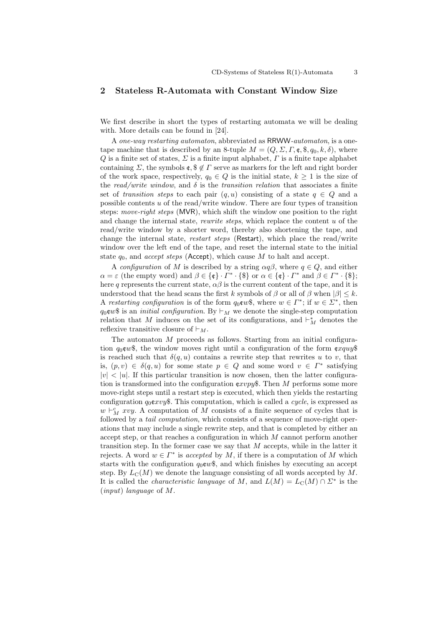# **2 Stateless R-Automata with Constant Window Size**

We first describe in short the types of restarting automata we will be dealing with. More details can be found in [24].

A *one-way restarting automaton*, abbreviated as RRWW*-automaton*, is a onetape machine that is described by an 8-tuple  $M = (Q, \Sigma, \Gamma, \mathfrak{e}, \mathfrak{F}, q_0, k, \delta)$ , where *Q* is a finite set of states, *Σ* is a finite input alphabet, *Γ* is a finite tape alphabet containing *Σ*, the symbols  $\mathfrak{e}, \mathfrak{F} \notin \Gamma$  serve as markers for the left and right border of the work space, respectively,  $q_0 \in Q$  is the initial state,  $k \geq 1$  is the size of the read/write window, and  $\delta$  is the *transition relation* that associates a finite set of *transition steps* to each pair  $(q, u)$  consisting of a state  $q \in Q$  and a possible contents *u* of the read/write window. There are four types of transition steps: *move-right steps* (MVR), which shift the window one position to the right and change the internal state, *rewrite steps*, which replace the content *u* of the read/write window by a shorter word, thereby also shortening the tape, and change the internal state, *restart steps* (Restart), which place the read/write window over the left end of the tape, and reset the internal state to the initial state  $q_0$ , and *accept steps* (Accept), which cause M to halt and accept.

A *configuration* of *M* is described by a string  $\alpha q\beta$ , where  $q \in Q$ , and either  $\alpha = \varepsilon$  (the empty word) and  $\beta \in {\mathbb{C}} \setminus \Gamma^* \cdot {\mathbb{S}}$  or  $\alpha \in {\mathbb{C}} \setminus \Gamma^*$  and  $\beta \in \Gamma^* \cdot {\mathbb{S}}$ ; here q represents the current state,  $\alpha\beta$  is the current content of the tape, and it is understood that the head scans the first *k* symbols of  $\beta$  or all of  $\beta$  when  $|\beta| \leq k$ . A *restarting configuration* is of the form  $q_0 \text{cm}\$ , where  $w \in \Gamma^*$ ; if  $w \in \Sigma^*$ , then *q*<sub>0</sub> $\infty$  \$ is an *initial configuration*. By  $\vdash_M$  we denote the single-step computation relation that *M* induces on the set of its configurations, and  $\vdash_M^*$  denotes the reflexive transitive closure of *⊢M*.

The automaton *M* proceeds as follows. Starting from an initial configuration  $q_0 \text{c} w \text{s}$ , the window moves right until a configuration of the form  $\text{c} x \text{a} u \text{a} \text{s}$ is reached such that  $\delta(q, u)$  contains a rewrite step that rewrites *u* to *v*, that is,  $(p, v) \in \delta(q, u)$  for some state  $p \in Q$  and some word  $v \in \Gamma^*$  satisfying  $|v| < |u|$ . If this particular transition is now chosen, then the latter configuration is transformed into the configuration c*xvpy*\$. Then *M* performs some more move-right steps until a restart step is executed, which then yields the restarting configuration *q*0c*xvy*\$. This computation, which is called a *cycle*, is expressed as *w*  $\vdash_M^c xy$ . A computation of *M* consists of a finite sequence of cycles that is followed by a *tail computation*, which consists of a sequence of move-right operations that may include a single rewrite step, and that is completed by either an accept step, or that reaches a configuration in which *M* cannot perform another transition step. In the former case we say that *M* accepts, while in the latter it rejects. A word  $w \in \Gamma^*$  is *accepted* by *M*, if there is a computation of *M* which starts with the configuration  $q_0 \text{cm} \text{*}$ , and which finishes by executing an accept step. By  $L<sub>C</sub>(M)$  we denote the language consisting of all words accepted by M. It is called the *characteristic language* of *M*, and  $L(M) = L_{\mathbb{C}}(M) \cap \mathbb{Z}^*$  is the (*input*) *language* of *M*.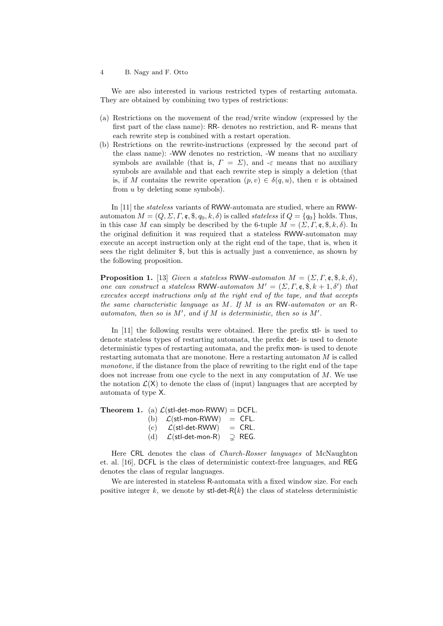We are also interested in various restricted types of restarting automata. They are obtained by combining two types of restrictions:

- (a) Restrictions on the movement of the read/write window (expressed by the first part of the class name): RR- denotes no restriction, and R- means that each rewrite step is combined with a restart operation.
- (b) Restrictions on the rewrite-instructions (expressed by the second part of the class name): -WW denotes no restriction, -W means that no auxiliary symbols are available (that is,  $\Gamma = \Sigma$ ), and  $-\varepsilon$  means that no auxiliary symbols are available and that each rewrite step is simply a deletion (that is, if *M* contains the rewrite operation  $(p, v) \in \delta(q, u)$ , then *v* is obtained from *u* by deleting some symbols).

In [11] the *stateless* variants of RWW-automata are studied, where an RWWautomaton  $M = (Q, \Sigma, \Gamma, \mathfrak{e}, \mathfrak{F}, q_0, k, \delta)$  is called *stateless* if  $Q = \{q_0\}$  holds. Thus, in this case *M* can simply be described by the 6-tuple  $M = (\Sigma, \Gamma, \mathfrak{e}, \mathfrak{F}, k, \delta)$ . In the original definition it was required that a stateless RWW-automaton may execute an accept instruction only at the right end of the tape, that is, when it sees the right delimiter \$, but this is actually just a convenience, as shown by the following proposition.

**Proposition 1.** [13] *Given a stateless* RWW-*automaton*  $M = (\Sigma, \Gamma, \mathfrak{e}, \mathfrak{F}, k, \delta)$ *, one can construct a stateless* RWW-automaton  $M' = (\Sigma, \Gamma, \mathfrak{e}, \mathfrak{F}, k + 1, \delta')$  that *executes accept instructions only at the right end of the tape, and that accepts the same characteristic language as M. If M is an* RW*-automaton or an* R*automaton, then so is M′ , and if M is deterministic, then so is M′ .*

In [11] the following results were obtained. Here the prefix stl- is used to denote stateless types of restarting automata, the prefix det- is used to denote deterministic types of restarting automata, and the prefix mon- is used to denote restarting automata that are monotone. Here a restarting automaton *M* is called *monotone*, if the distance from the place of rewriting to the right end of the tape does not increase from one cycle to the next in any computation of *M*. We use the notation  $\mathcal{L}(X)$  to denote the class of (input) languages that are accepted by automata of type X.

**Theorem 1.** (a)  $\mathcal{L}$ (stl-det-mon-RWW) = DCFL.

| (b) | $\mathcal{L}(\textsf{stl-mon-RWW})$                                 | $=$ CFL. |
|-----|---------------------------------------------------------------------|----------|
| (c) | $\mathcal{L}(\mathsf{stl}\text{-}\mathsf{det}\text{-}\mathsf{RWW})$ | $=$ CRL. |
|     | $\sim$ $\sim$ $\sim$ $\sim$                                         | ---      |

(d)  $\mathcal{L}(\text{stl-det-mon-R}) \supseteq \text{REG}.$ 

Here CRL denotes the class of *Church-Rosser languages* of McNaughton et. al. [16], DCFL is the class of deterministic context-free languages, and REG denotes the class of regular languages.

We are interested in stateless R-automata with a fixed window size. For each positive integer  $k$ , we denote by  $\mathsf{stl-det-R}(k)$  the class of stateless deterministic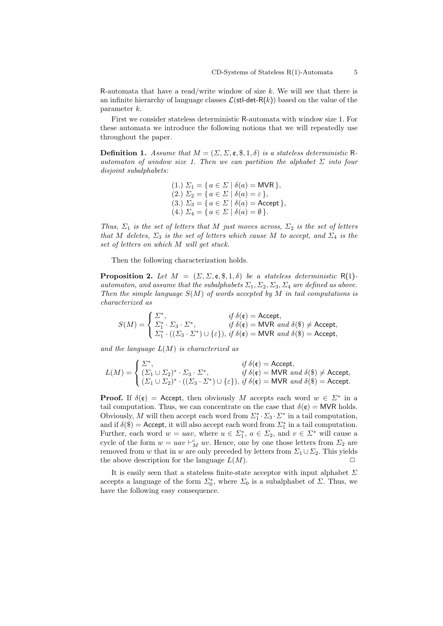R-automata that have a read/write window of size *k*. We will see that there is an infinite hierarchy of language classes  $\mathcal{L}(\text{stl-det-R}(k))$  based on the value of the parameter *k*.

First we consider stateless deterministic R-automata with window size 1. For these automata we introduce the following notions that we will repeatedly use throughout the paper.

**Definition 1.** *Assume that*  $M = (\Sigma, \Sigma, \mathfrak{e}, \mathfrak{F}, 1, \delta)$  *is a stateless deterministic* R*automaton of window size 1. Then we can partition the alphabet*  $\Sigma$  *into four disjoint subalphabets:*

> $(1.)$   $\Sigma_1 = \{ a \in \Sigma \mid \delta(a) = \textsf{MVR} \},$  $(2.)$   $\Sigma_2 = \{ a \in \Sigma \mid \delta(a) = \varepsilon \},\$  $(3.)$   $\Sigma_3 = \{ a \in \Sigma \mid \delta(a) = \text{Accept } \},$  $(4.)$   $\Sigma_4 = \{ a \in \Sigma \mid \delta(a) = \emptyset \}.$

*Thus,*  $\Sigma_1$  *is the set of letters that M just moves across,*  $\Sigma_2$  *is the set of letters that M* deletes,  $\Sigma_3$  *is the set of letters which cause M to accept, and*  $\Sigma_4$  *is the set of letters on which M will get stuck.*

Then the following characterization holds.

**Proposition 2.** Let  $M = (\Sigma, \Sigma, \mathfrak{e}, \mathfrak{F}, 1, \delta)$  be a stateless deterministic R(1)*automaton, and assume that the subalphabets*  $\Sigma_1$ ,  $\Sigma_2$ ,  $\Sigma_3$ ,  $\Sigma_4$  *are defined as above. Then the simple language S*(*M*) *of words accepted by M in tail computations is characterized as*

$$
S(M)=\begin{cases} \varSigma^*, & \textit{if $\delta(\mathfrak{e})=\text{Accept},$}\\ \varSigma_1^*\cdot\varSigma_3\cdot\varSigma^*, & \textit{if $\delta(\mathfrak{e})=\text{MVR}$ and $\delta(\$)\neq\text{Accept},$}\\ \varSigma_1^*\cdot((\varSigma_3\cdot\varSigma^*)\cup\{\varepsilon\}), & \textit{if $\delta(\mathfrak{e})=\text{MVR}$ and $\delta(\$)=\text{Accept},$}\end{cases}
$$

*and the language L*(*M*) *is characterized as*

$$
L(M) = \begin{cases} \varSigma^*, & \text{if } \delta(\mathfrak{e}) = \text{Accept}, \\ (\varSigma_1 \cup \varSigma_2)^* \cdot \varSigma_3 \cdot \varSigma^*, & \text{if } \delta(\mathfrak{e}) = \text{MVR} \text{ and } \delta(\mathfrak{F}) \neq \text{Accept}, \\ (\varSigma_1 \cup \varSigma_2)^* \cdot ((\varSigma_3 \cdot \varSigma^*) \cup \{\varepsilon\}), & \text{if } \delta(\mathfrak{e}) = \text{MVR} \text{ and } \delta(\mathfrak{F}) = \text{Accept}. \end{cases}
$$

**Proof.** If  $\delta(\mathfrak{e}) =$  Accept, then obviously *M* accepts each word  $w \in \Sigma^*$  in a tail computation. Thus, we can concentrate on the case that  $\delta(\mathfrak{e}) = \text{MVR}$  holds. Obviously, *M* will then accept each word from  $\Sigma_1^* \cdot \Sigma_3 \cdot \Sigma^*$  in a tail computation, and if  $\delta$ (\$) = Accept, it will also accept each word from  $\mathcal{L}_1^*$  in a tail computation. Further, each word  $w = uav$ , where  $u \in \Sigma_1^*$ ,  $a \in \Sigma_2$ , and  $v \in \Sigma^*$  will cause a cycle of the form  $w = uav \vdash_M^c uv$ . Hence, one by one those letters from  $\Sigma_2$  are removed from *w* that in *w* are only preceded by letters from  $\Sigma_1 \cup \Sigma_2$ . This yields the above description for the language  $L(M)$ .

It is easily seen that a stateless finite-state acceptor with input alphabet *Σ* accepts a language of the form  $\Sigma_0^*$ , where  $\Sigma_0$  is a subalphabet of  $\Sigma$ . Thus, we have the following easy consequence.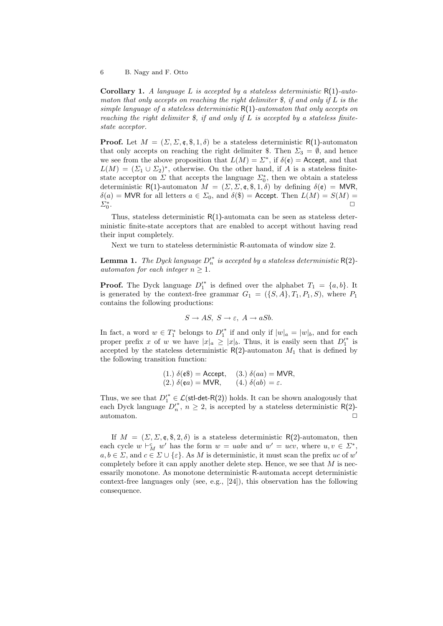**Corollary 1.** *A language L is accepted by a stateless deterministic* R(1)*-automaton that only accepts on reaching the right delimiter \$, if and only if L is the simple language of a stateless deterministic* R(1)*-automaton that only accepts on reaching the right delimiter \$, if and only if L is accepted by a stateless finitestate acceptor.*

**Proof.** Let  $M = (\Sigma, \Sigma, \mathfrak{e}, \mathfrak{F}, 1, \delta)$  be a stateless deterministic R(1)-automaton that only accepts on reaching the right delimiter \$. Then  $\Sigma_3 = \emptyset$ , and hence we see from the above proposition that  $L(M) = \Sigma^*$ , if  $\delta(\mathfrak{e}) =$  Accept, and that  $L(M) = (\Sigma_1 \cup \Sigma_2)^*$ , otherwise. On the other hand, if *A* is a stateless finitestate acceptor on  $\Sigma$  that accepts the language  $\Sigma_0^*$ , then we obtain a stateless deterministic R(1)-automaton  $M = (\Sigma, \Sigma, \mathfrak{e}, \mathfrak{F}, 1, \delta)$  by defining  $\delta(\mathfrak{e}) = MVR$ ,  $\delta(a)$  = MVR for all letters  $a \in \Sigma_0$ , and  $\delta(\$)$  = Accept. Then  $L(M) = S(M)$  = *Σ<sup>∗</sup>* 0 . *✷*

Thus, stateless deterministic R(1)-automata can be seen as stateless deterministic finite-state acceptors that are enabled to accept without having read their input completely.

Next we turn to stateless deterministic R-automata of window size 2.

**Lemma 1.** *The Dyck language*  $D'^{*}$  *is accepted by a stateless deterministic*  $R(2)$ *automaton for each integer*  $n \geq 1$ *.* 

**Proof.** The Dyck language  $D_1^*$  is defined over the alphabet  $T_1 = \{a, b\}$ . It is generated by the context-free grammar  $G_1 = (\{S, A\}, T_1, P_1, S)$ , where  $P_1$ contains the following productions:

$$
S \to AS, \ S \to \varepsilon, \ A \to aSb.
$$

In fact, a word  $w \in T_1^*$  belongs to  $D_1'^*$  if and only if  $|w|_a = |w|_b$ , and for each proper prefix *x* of *w* we have  $|x|_a \geq |x|_b$ . Thus, it is easily seen that  $D_1'^*$  is accepted by the stateless deterministic  $R(2)$ -automaton  $M_1$  that is defined by the following transition function:

(1.) 
$$
\delta(\mathfrak{e}\mathfrak{F}) = \text{Accept},
$$
 (3.)  $\delta(aa) = \text{MVR},$   
(2.)  $\delta(\mathfrak{e}a) = \text{MVR},$  (4.)  $\delta(ab) = \varepsilon.$ 

Thus, we see that  $D'^{*}$   $\in$   $\mathcal{L}(\text{stl-det-R}(2))$  holds. It can be shown analogously that each Dyck language  $D'^{*}_{n}$ ,  $n \geq 2$ , is accepted by a stateless deterministic R(2)automaton.  $\Box$ 

If  $M = (\Sigma, \Sigma, \mathfrak{e}, \mathfrak{F}, 2, \delta)$  is a stateless deterministic R(2)-automaton, then each cycle  $w \vdash_M^c w'$  has the form  $w = uabv$  and  $w' = ucv$ , where  $u, v \in \Sigma^*$ ,  $a, b \in \Sigma$ , and  $c \in \Sigma \cup \{\varepsilon\}$ . As *M* is deterministic, it must scan the prefix *uc* of *w*' completely before it can apply another delete step. Hence, we see that *M* is necessarily monotone. As monotone deterministic R-automata accept deterministic context-free languages only (see, e.g., [24]), this observation has the following consequence.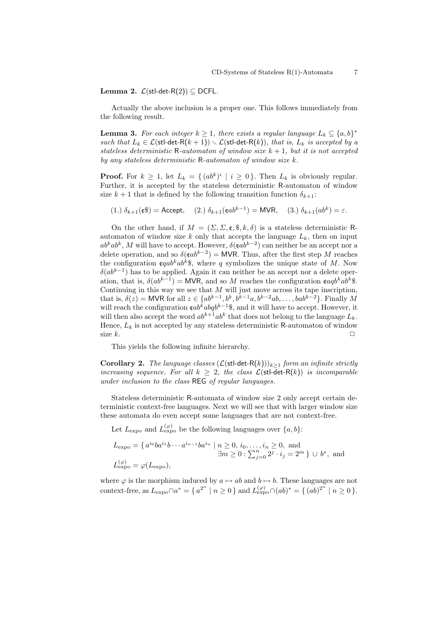**Lemma 2.** *L*(stl-det-R(2)) *⊆* DCFL*.*

Actually the above inclusion is a proper one. This follows immediately from the following result.

**Lemma 3.** For each integer  $k \geq 1$ , there exists a regular language  $L_k \subseteq \{a, b\}^*$ *such that*  $L_k \in \mathcal{L}(\text{stl-det-R}(k+1)) \setminus \mathcal{L}(\text{stl-det-R}(k))$ *, that is,*  $L_k$  *is accepted by a stateless deterministic* R-*automaton of window size*  $k + 1$ *, but it is not accepted by any stateless deterministic* R*-automaton of window size k.*

**Proof.** For  $k \geq 1$ , let  $L_k = \{(ab^k)^i \mid i \geq 0\}$ . Then  $L_k$  is obviously regular. Further, it is accepted by the stateless deterministic R-automaton of window size  $k + 1$  that is defined by the following transition function  $\delta_{k+1}$ :

 $(1)$   $\delta_{k+1}(c\mathbf{t}) = \text{Accept}, \quad (2)$   $\delta_{k+1}(cab^{k-1}) = \text{MVR}, \quad (3)$   $\delta_{k+1}(ab^{k}) = \varepsilon.$ 

On the other hand, if  $M = (\Sigma, \Sigma, \mathfrak{e}, \mathfrak{F}, k, \delta)$  is a stateless deterministic Rautomaton of window size  $k$  only that accepts the language  $L_k$ , then on input  $ab^kab^k$ , *M* will have to accept. However,  $\delta(\mathfrak{c}ab^{k-2})$  can neither be an accept nor a delete operation, and so  $\delta(\epsilon ab^{k-2}) = \text{MVR}$ . Thus, after the first step M reaches the configuration  $\epsilon qab^kab^k\$ , where *q* symbolizes the unique state of *M*. Now *δ*(*ab*<sup>*k*−1</sup>) has to be applied. Again it can neither be an accept nor a delete operation, that is,  $\delta(ab^{k-1}) = \text{MVR}$ , and so M reaches the configuration  $\epsilon a q b^k a b^k$ \$. Continuing in this way we see that *M* will just move across its tape inscription, that is,  $\delta(z) = \text{MVR}$  for all  $z \in \{ab^{k-1}, b^k, b^{k-1}a, b^{k-2}ab, \dots, bab^{k-2}\}$ . Finally M will reach the configuration c*ab<sup>k</sup>abqb <sup>k</sup>−*<sup>1</sup>\$, and it will have to accept. However, it will then also accept the word  $ab^{k+1}ab^k$  that does not belong to the language  $L_k$ . Hence,  $L_k$  is not accepted by any stateless deterministic R-automaton of window size  $k$ .

This yields the following infinite hierarchy.

**Corollary 2.** *The language classes*  $(L(\text{stl-det-R}(k)))_{k>1}$  *form an infinite strictly increasing sequence. For all*  $k \geq 2$ , the class  $\mathcal{L}(\text{stl-det-R}(k))$  is incomparable *under inclusion to the class* REG *of regular languages.*

Stateless deterministic R-automata of window size 2 only accept certain deterministic context-free languages. Next we will see that with larger window size these automata do even accept some languages that are not context-free.

Let  $L_{\text{expo}}$  and  $L_{\text{expo}}^{(\varphi)}$  be the following languages over  $\{a, b\}$ :

$$
L_{\text{expo}} = \{ a^{i_0}ba^{i_1}b\cdots a^{i_{n-1}}ba^{i_n} \mid n \ge 0, i_0, \ldots, i_n \ge 0, \text{ and}
$$
  

$$
\exists m \ge 0 : \sum_{j=0}^n 2^j \cdot i_j = 2^m \} \cup b^*, \text{ and}
$$
  

$$
L_{\text{expo}}^{(\varphi)} = \varphi(L_{\text{expo}}),
$$

where  $\varphi$  is the morphism induced by  $a \mapsto ab$  and  $b \mapsto b$ . These languages are not context-free, as  $L_{\text{expo}} \cap a^* = \{ a^{2^n} \mid n \ge 0 \}$  and  $L_{\text{expo}}^{(\varphi)} \cap (ab)^* = \{ (ab)^{2^n} \mid n \ge 0 \}$ .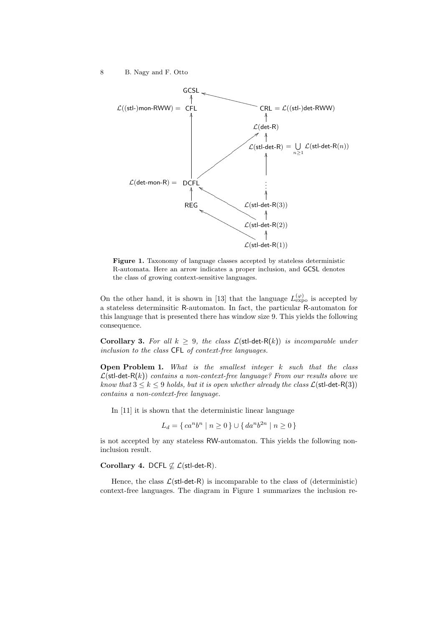

**Figure 1.** Taxonomy of language classes accepted by stateless deterministic R-automata. Here an arrow indicates a proper inclusion, and GCSL denotes the class of growing context-sensitive languages.

On the other hand, it is shown in [13] that the language  $L_{\text{expo}}^{(\varphi)}$  is accepted by a stateless determinsitic R-automaton. In fact, the particular R-automaton for this language that is presented there has window size 9. This yields the following consequence.

**Corollary 3.** For all  $k \geq 9$ , the class  $\mathcal{L}(\text{stl-det-R}(k))$  is incomparable under *inclusion to the class* CFL *of context-free languages.*

**Open Problem 1.** *What is the smallest integer k such that the class*  $\mathcal{L}(\text{stl-det-R}(k))$  *contains a non-context-free language? From our results above we know that*  $3 \leq k \leq 9$  *holds, but it is open whether already the class*  $\mathcal{L}(\text{stl-det-R}(3))$ *contains a non-context-free language.*

In [11] it is shown that the deterministic linear language

$$
L_d = \{ ca^n b^n \mid n \ge 0 \} \cup \{ da^n b^{2n} \mid n \ge 0 \}
$$

is not accepted by any stateless RW-automaton. This yields the following noninclusion result.

# **Corollary 4.** DCFL *̸⊆ L*(stl-det-R)*.*

Hence, the class  $\mathcal{L}(\text{stl-det-R})$  is incomparable to the class of (deterministic) context-free languages. The diagram in Figure 1 summarizes the inclusion re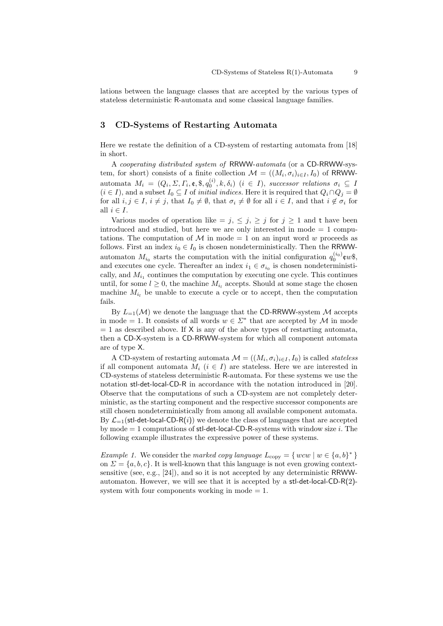lations between the language classes that are accepted by the various types of stateless deterministic R-automata and some classical language families.

## **3 CD-Systems of Restarting Automata**

Here we restate the definition of a CD-system of restarting automata from [18] in short.

A *cooperating distributed system of* RRWW-*automata* (or a CD-RRWW-system, for short) consists of a finite collection  $\mathcal{M} = ((M_i, \sigma_i)_{i \in I}, I_0)$  of RRWWautomata  $M_i = (Q_i, \Sigma, \Gamma_i, \mathfrak{e}, \mathfrak{F}, q_0^{(i)}, k, \delta_i)$   $(i \in I)$ , successor relations  $\sigma_i \subseteq I$  $(i \in I)$ , and a subset  $I_0 \subseteq I$  of *initial indices*. Here it is required that  $Q_i \cap Q_j = \emptyset$ for all  $i, j \in I$ ,  $i \neq j$ , that  $I_0 \neq \emptyset$ , that  $\sigma_i \neq \emptyset$  for all  $i \in I$ , and that  $i \notin \sigma_i$  for all  $i \in I$ .

Various modes of operation like  $= j, \leq j, \geq j$  for  $j \geq 1$  and t have been introduced and studied, but here we are only interested in mode  $= 1$  computations. The computation of  $M$  in mode  $= 1$  on an input word *w* proceeds as follows. First an index  $i_0 \in I_0$  is chosen nondeterministically. Then the RRWWautomaton  $M_{i_0}$  starts the computation with the initial configuration  $q_0^{(i_0)}$   $\infty$ \$, and executes one cycle. Thereafter an index  $i_1 \in \sigma_{i_0}$  is chosen nondeterministically, and  $M_{i_1}$  continues the computation by executing one cycle. This continues until, for some  $l \geq 0$ , the machine  $M_{i_l}$  accepts. Should at some stage the chosen machine  $M_i$  be unable to execute a cycle or to accept, then the computation fails.

By  $L_{=1}(\mathcal{M})$  we denote the language that the CD-RRWW-system  $\mathcal M$  accepts in mode = 1. It consists of all words  $w \in \Sigma^*$  that are accepted by *M* in mode  $= 1$  as described above. If X is any of the above types of restarting automata, then a CD-X-system is a CD-RRWW-system for which all component automata are of type X.

A CD-system of restarting automata  $\mathcal{M} = ((M_i, \sigma_i)_{i \in I}, I_0)$  is called *stateless* if all component automata  $M_i$  ( $i \in I$ ) are stateless. Here we are interested in CD-systems of stateless deterministic R-automata. For these systems we use the notation stl-det-local-CD-R in accordance with the notation introduced in [20]. Observe that the computations of such a CD-system are not completely deterministic, as the starting component and the respective successor components are still chosen nondeterministically from among all available component automata. By  $\mathcal{L}_{-1}$ (stl-det-local-CD-R(*i*)) we denote the class of languages that are accepted by mode = 1 computations of stl-det-local-CD-R-systems with window size *i*. The following example illustrates the expressive power of these systems.

*Example 1.* We consider the *marked copy language*  $L_{\text{copy}} = \{ wcw \mid w \in \{a, b\}^* \}$ on  $\Sigma = \{a, b, c\}$ . It is well-known that this language is not even growing contextsensitive (see, e.g.,  $[24]$ ), and so it is not accepted by any deterministic RRWWautomaton. However, we will see that it is accepted by a stl-det-local-CD- $R(2)$ system with four components working in mode  $= 1$ .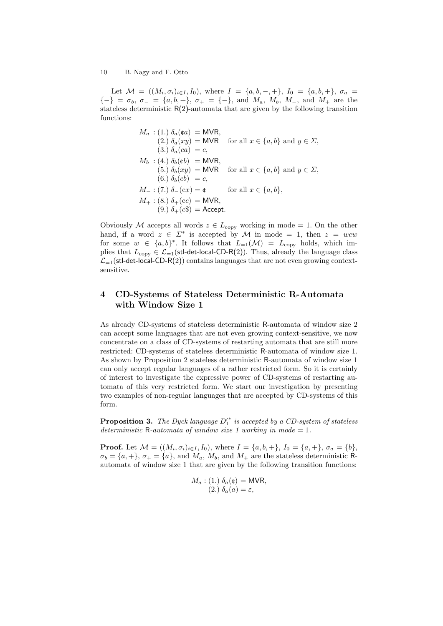Let  $\mathcal{M} = ((M_i, \sigma_i)_{i \in I}, I_0)$ , where  $I = \{a, b, -, +\}$ ,  $I_0 = \{a, b, +\}$ ,  $\sigma_a =$ *{−}* = *σb*, *σ<sup>−</sup>* = *{a, b,* +*}*, *σ*<sup>+</sup> = *{−}*, and *Ma*, *Mb*, *M−*, and *M*<sup>+</sup> are the stateless deterministic  $R(2)$ -automata that are given by the following transition functions:

$$
M_a: (1.) \delta_a(\mathfrak{e}a) = \text{MVR},
$$
  
\n
$$
(2.) \delta_a(xy) = \text{MVR} \quad \text{for all } x \in \{a, b\} \text{ and } y \in \Sigma,
$$
  
\n
$$
(3.) \delta_a(ca) = c,
$$
  
\n
$$
M_b: (4.) \delta_b(\mathfrak{e}b) = \text{MVR},
$$
  
\n
$$
(5.) \delta_b(xy) = \text{MVR} \quad \text{for all } x \in \{a, b\} \text{ and } y \in \Sigma,
$$
  
\n
$$
(6.) \delta_b(cb) = c,
$$
  
\n
$$
M_-: (7.) \delta_-(\mathfrak{e}x) = \mathfrak{e} \qquad \text{for all } x \in \{a, b\},
$$
  
\n
$$
M_+: (8.) \delta_+(\mathfrak{e}c) = \text{MVR},
$$
  
\n
$$
(9.) \delta_+(\mathfrak{e}s) = \text{Accept}.
$$

Obviously *M* accepts all words  $z \in L_{\text{copy}}$  working in mode = 1. On the other hand, if a word  $z \in \Sigma^*$  is accepted by *M* in mode = 1, then  $z = wcw$ for some  $w \in \{a, b\}^*$ . It follows that  $L_{=1}(\mathcal{M}) = L_{\text{copy}}$  holds, which implies that  $L_{\text{copy}} \in \mathcal{L}_{=1}(\text{stl-det-local-CD-R}(2))$ . Thus, already the language class  $\mathcal{L}_{=1}$ (stl-det-local-CD-R(2)) contains languages that are not even growing contextsensitive.

# **4 CD-Systems of Stateless Deterministic R-Automata with Window Size 1**

As already CD-systems of stateless deterministic R-automata of window size 2 can accept some languages that are not even growing context-sensitive, we now concentrate on a class of CD-systems of restarting automata that are still more restricted: CD-systems of stateless deterministic R-automata of window size 1. As shown by Proposition 2 stateless deterministic R-automata of window size 1 can only accept regular languages of a rather restricted form. So it is certainly of interest to investigate the expressive power of CD-systems of restarting automata of this very restricted form. We start our investigation by presenting two examples of non-regular languages that are accepted by CD-systems of this form.

**Proposition 3.** *The Dyck language D′∗* 1 *is accepted by a CD-system of stateless deterministic* R-automata of window size 1 working in mode  $= 1$ *.* 

**Proof.** Let  $M = ((M_i, \sigma_i)_{i \in I}, I_0)$ , where  $I = \{a, b, +\}$ ,  $I_0 = \{a, +\}$ ,  $\sigma_a = \{b\}$ ,  $\sigma_b = \{a, +\}, \sigma_+ = \{a\}$ , and  $M_a$ ,  $M_b$ , and  $M_+$  are the stateless deterministic Rautomata of window size 1 that are given by the following transition functions:

$$
M_a: (1.) \delta_a(\mathfrak{e}) = \text{MVR},
$$
  

$$
(2.) \delta_a(a) = \varepsilon,
$$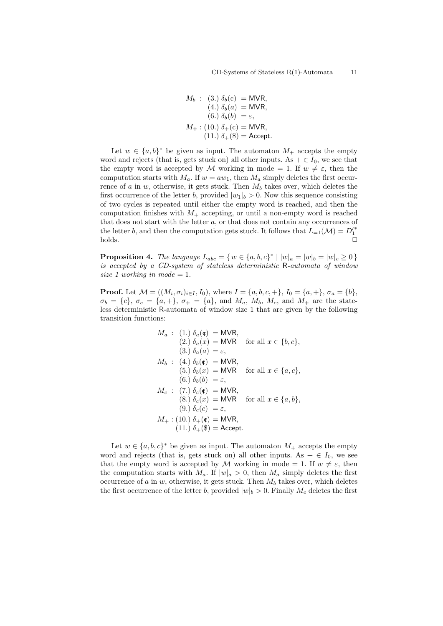$$
M_b: (3.) \delta_b(\mathfrak{e}) = \text{MVR},
$$
  
\n
$$
(4.) \delta_b(a) = \text{MVR},
$$
  
\n
$$
(6.) \delta_b(b) = \varepsilon,
$$
  
\n
$$
M_+: (10.) \delta_+(\mathfrak{e}) = \text{MVR},
$$
  
\n
$$
(11.) \delta_+(\$) = \text{Accept}.
$$

Let  $w \in \{a, b\}^*$  be given as input. The automaton  $M_+$  accepts the empty word and rejects (that is, gets stuck on) all other inputs. As  $+ \in I_0$ , we see that the empty word is accepted by *M* working in mode = 1. If  $w \neq \varepsilon$ , then the computation starts with  $M_a$ . If  $w = aw_1$ , then  $M_a$  simply deletes the first occurrence of *a* in *w*, otherwise, it gets stuck. Then *M<sup>b</sup>* takes over, which deletes the first occurrence of the letter *b*, provided  $|w_1|_b > 0$ . Now this sequence consisting of two cycles is repeated until either the empty word is reached, and then the computation finishes with  $M_+$  accepting, or until a non-empty word is reached that does not start with the letter *a*, or that does not contain any occurrences of the letter *b*, and then the computation gets stuck. It follows that  $L_{=1}(\mathcal{M}) = D'^{*}_{1}$ holds. *✷*

**Proposition 4.** The language  $L_{abc} = \{ w \in \{a, b, c\}^* \mid |w|_a = |w|_b = |w|_c \ge 0 \}$ *is accepted by a CD-system of stateless deterministic* R*-automata of window size* 1 working in mode  $= 1$ .

**Proof.** Let  $M = ((M_i, \sigma_i)_{i \in I}, I_0)$ , where  $I = \{a, b, c, +\}, I_0 = \{a, +\}, \sigma_a = \{b\},$  $\sigma_b = \{c\}, \ \sigma_c = \{a, +\}, \ \sigma_+ = \{a\}, \text{ and } M_a, M_b, M_c, \text{ and } M_+ \text{ are the state-}$ less deterministic R-automata of window size 1 that are given by the following transition functions:

$$
M_a: (1.) \delta_a(\mathfrak{e}) = \text{MVR},
$$
  
\n
$$
(2.) \delta_a(x) = \text{MVR} \text{ for all } x \in \{b, c\},
$$
  
\n
$$
(3.) \delta_a(a) = \varepsilon,
$$
  
\n
$$
M_b: (4.) \delta_b(\mathfrak{e}) = \text{MVR},
$$
  
\n
$$
(5.) \delta_b(x) = \text{MVR} \text{ for all } x \in \{a, c\},
$$
  
\n
$$
(6.) \delta_b(b) = \varepsilon,
$$
  
\n
$$
M_c: (7.) \delta_c(\mathfrak{e}) = \text{MVR},
$$
  
\n
$$
(8.) \delta_c(x) = \text{MVR} \text{ for all } x \in \{a, b\},
$$
  
\n
$$
(9.) \delta_c(c) = \varepsilon,
$$
  
\n
$$
M_+: (10.) \delta_+(\mathfrak{e}) = \text{MVR},
$$
  
\n
$$
(11.) \delta_+(\mathfrak{F}) = \text{Accept}.
$$

Let  $w \in \{a, b, c\}^*$  be given as input. The automaton  $M_+$  accepts the empty word and rejects (that is, gets stuck on) all other inputs. As  $+ \in I_0$ , we see that the empty word is accepted by *M* working in mode = 1. If  $w \neq \varepsilon$ , then the computation starts with  $M_a$ . If  $|w|_a > 0$ , then  $M_a$  simply deletes the first occurrence of *a* in *w*, otherwise, it gets stuck. Then  $M_b$  takes over, which deletes the first occurrence of the letter *b*, provided  $|w|_b > 0$ . Finally  $M_c$  deletes the first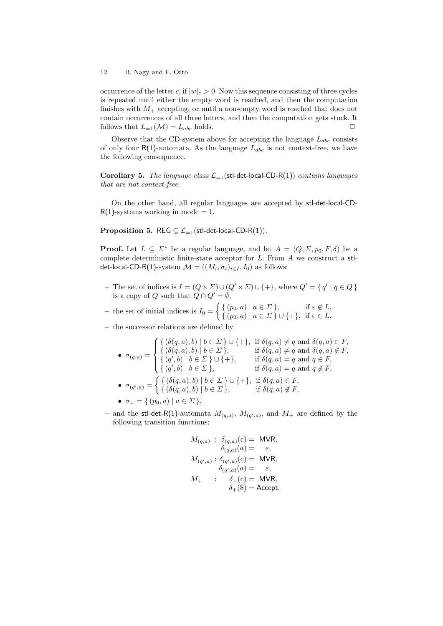occurrence of the letter *c*, if  $|w|_c > 0$ . Now this sequence consisting of three cycles is repeated until either the empty word is reached, and then the computation finishes with  $M_+$  accepting, or until a non-empty word is reached that does not contain occurrences of all three letters, and then the computation gets stuck. It follows that  $L_{=1}(\mathcal{M}) = L_{abc}$  holds.  $\Box$ 

Observe that the CD-system above for accepting the language  $L_{abc}$  consists of only four  $R(1)$ -automata. As the language  $L_{abc}$  is not context-free, we have the following consequence.

**Corollary 5.** *The language class*  $\mathcal{L}_{-1}$ (stl-det-local-CD-R(1)) *contains languages that are not context-free.*

On the other hand, all regular languages are accepted by stl-det-local-CD- $R(1)$ -systems working in mode = 1.

**Proposition 5.** REG  $\subsetneq$   $\mathcal{L}_{-1}$ (stl-det-local-CD-R(1)).

**Proof.** Let  $L \subseteq \Sigma^*$  be a regular language, and let  $A = (Q, \Sigma, p_0, F, \delta)$  be a complete deterministic finite-state acceptor for *L*. From *A* we construct a stldet-local-CD-R(1)-system  $\mathcal{M} = ((M_i, \sigma_i)_{i \in I}, I_0)$  as follows:

- The set of indices is  $I = (Q \times \Sigma) \cup (Q' \times \Sigma) \cup \{+\}$ , where  $Q' = \{q' | q \in Q\}$ is a copy of *Q* such that  $Q \cap Q' = \emptyset$ ,
- $-$  the set of initial indices is  $I_0 =$  $\int \{ (p_0, a) \mid a \in \Sigma \}, \qquad \text{if } \varepsilon \notin L,$ *{* (*p*0*, a*) *| a ∈ Σ } ∪ {*+*},* if *ε ∈ L,*
- **–** the successor relations are defined by

$$
\bullet \ \sigma_{(q,a)} = \begin{cases} \{ (\delta(q,a),b) \mid b \in \Sigma \} \cup \{ + \}, & \text{if } \delta(q,a) \neq q \text{ and } \delta(q,a) \in F, \\ \{ (\delta(q,a),b) \mid b \in \Sigma \}, & \text{if } \delta(q,a) \neq q \text{ and } \delta(q,a) \notin F, \\ \{ (q',b) \mid b \in \Sigma \} \cup \{ + \}, & \text{if } \delta(q,a) = q \text{ and } q \in F, \\ \{ (q',b) \mid b \in \Sigma \}, & \text{if } \delta(q,a) = q \text{ and } q \notin F, \\ \{ (\delta(q,a),b) \mid b \in \Sigma \} \cup \{ + \}, & \text{if } \delta(q,a) \in F, \\ \{ (\delta(q,a),b) \mid b \in \Sigma \}, & \text{if } \delta(q,a) \notin F, \\ \bullet \ \sigma_{+} = \{ (p_{0},a) \mid a \in \Sigma \}, & \text{if } \delta(q,a) \notin F, \end{cases}
$$

 $-$  and the stl-det-R(1)-automata  $M_{(q,a)}$ ,  $M_{(q',a)}$ , and  $M_+$  are defined by the following transition functions:

$$
\begin{array}{rl} M_{(q,a)}\; : \; \delta_{(q,a)}({\mathfrak{e}}) = \text{ MVR}, \\ \; \delta_{(q,a)}(a) = \quad \varepsilon, \\ M_{(q',a)}\, : \, \delta_{(q',a)}({\mathfrak{e}}) = \text{ MVR}, \\ \; \delta_{(q',a)}(a) = \quad \varepsilon, \\ M_+ \qquad : \quad \delta_+({\mathfrak{e}}) = \text{ MVR}, \\ \; \delta_+({\mathfrak{e}}) = \text{ Accept}. \end{array}
$$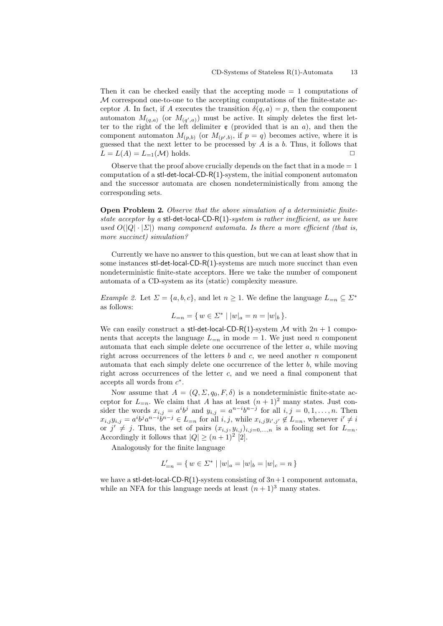Then it can be checked easily that the accepting mode = 1 computations of *M* correspond one-to-one to the accepting computations of the finite-state acceptor *A*. In fact, if *A* executes the transition  $\delta(q, a) = p$ , then the component automaton  $M_{(q,a)}$  (or  $M_{(q',a)}$ ) must be active. It simply deletes the first letter to the right of the left delimiter  $\mathfrak c$  (provided that is an  $a$ ), and then the component automaton  $M_{(p,b)}$  (or  $M_{(p',b)}$ , if  $p = q$ ) becomes active, where it is guessed that the next letter to be processed by *A* is a *b*. Thus, it follows that  $L = L(A) = L_{=1}(\mathcal{M})$  holds.  $\square$ 

Observe that the proof above crucially depends on the fact that in a mode  $= 1$ computation of a stl-det-local-CD-R(1)-system, the initial component automaton and the successor automata are chosen nondeterministically from among the corresponding sets.

**Open Problem 2.** *Observe that the above simulation of a deterministic finitestate acceptor by a* stl-det-local-CD-R(1)*-system is rather inefficient, as we have*  $u$ sed  $O(|Q| \cdot |\Sigma|)$  *many component automata. Is there a more efficient (that is, more succinct) simulation?*

Currently we have no answer to this question, but we can at least show that in some instances stl-det-local-CD-R(1)-systems are much more succinct than even nondeterministic finite-state acceptors. Here we take the number of component automata of a CD-system as its (static) complexity measure.

*Example 2.* Let  $\Sigma = \{a, b, c\}$ , and let  $n \geq 1$ . We define the language  $L_{=n} \subseteq \Sigma^*$ as follows:

$$
L_{=n} = \{ w \in \Sigma^* \mid |w|_a = n = |w|_b \}.
$$

We can easily construct a stl-det-local-CD-R(1)-system  $M$  with  $2n + 1$  components that accepts the language  $L_{=n}$  in mode = 1. We just need *n* component automata that each simple delete one occurrence of the letter *a*, while moving right across occurrences of the letters *b* and *c*, we need another *n* component automata that each simply delete one occurrence of the letter *b*, while moving right across occurrences of the letter *c*, and we need a final component that accepts all words from *c ∗* .

Now assume that  $A = (Q, \Sigma, q_0, F, \delta)$  is a nondeterministic finite-state acceptor for  $L_{=n}$ . We claim that *A* has at least  $(n + 1)^2$  many states. Just consider the words  $x_{i,j} = a^i b^j$  and  $y_{i,j} = a^{n-i} b^{n-j}$  for all  $i, j = 0, 1, \ldots, n$ . Then  $x_{i,j}y_{i,j} = a^ib^ja^{n-i}b^{n-j} \in L_{=n}$  for all  $i, j$ , while  $x_{i,j}y_{i',j'} \notin L_{=n}$ , whenever  $i' \neq i$ or  $j' \neq j$ . Thus, the set of pairs  $(x_{i,j}, y_{i,j})_{i,j=0,\dots,n}$  is a fooling set for  $L_{=n}$ . Accordingly it follows that  $|Q| \ge (n+1)^2$  [2].

Analogously for the finite language

$$
L'_{=n}=\{\,w\in \varSigma^*\mid |w|_a=|w|_b=|w|_c=n\,\}
$$

we have a stl-det-local-CD-R(1)-system consisting of  $3n+1$  component automata, while an NFA for this language needs at least  $(n+1)^3$  many states.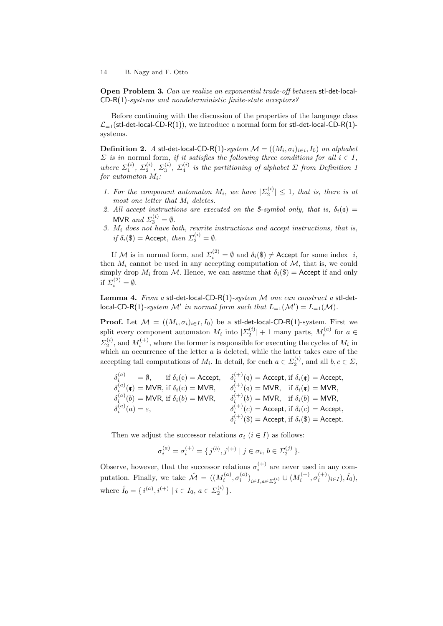**Open Problem 3.** *Can we realize an exponential trade-off between* stl-det-local-CD-R(1)*-systems and nondeterministic finite-state acceptors?*

Before continuing with the discussion of the properties of the language class  $\mathcal{L}_{=1}$ (stl-det-local-CD-R(1)), we introduce a normal form for stl-det-local-CD-R(1)systems.

 $\bf{Definition 2.}$  *A* stl-det-local-CD-R(1)*-system*  $\mathcal{M} = ((M_i, \sigma_i)_{i \in i}, I_0)$  *on alphabet*  $\Sigma$  *is in* normal form, *if it satisfies the following three conditions for all*  $i \in I$ , *where*  $\Sigma_1^{(i)}$ ,  $\Sigma_2^{(i)}$ ,  $\Sigma_3^{(i)}$ ,  $\Sigma_4^{(i)}$  is the partitioning of alphabet  $\Sigma$  from Definition 1 *for automaton Mi:*

- *1. For the component automaton*  $M_i$ *, we have*  $|\Sigma_2^{(i)}| \leq 1$ *, that is, there is at most one letter that M<sup>i</sup> deletes.*
- 2. All accept instructions are executed on the \$-symbol only, that is,  $\delta_i(\mathfrak{c}) =$ MVR *and*  $\Sigma_3^{(i)} = \emptyset$ .
- *3. M<sup>i</sup> does not have both, rewrite instructions and accept instructions, that is,*  $if \delta_i(\$) = \text{Accept}, \ then \ \Sigma_2^{(i)} = \emptyset.$

If *M* is in normal form, and  $\Sigma_i^{(2)} = \emptyset$  and  $\delta_i(\$) \neq$  Accept for some index *i*, then  $M_i$  cannot be used in any accepting computation of  $M$ , that is, we could simply drop  $M_i$  from  $M$ . Hence, we can assume that  $\delta_i(\$) =$  Accept if and only if  $\Sigma_i^{(2)} = \emptyset$ .

**Lemma 4.** *From a* stl-det-local-CD-R(1)*-system M one can construct a* stl-detlocal-CD-R(1)-system  $\mathcal{M}'$  in normal form such that  $L_{=1}(\mathcal{M}') = L_{=1}(\mathcal{M})$ .

**Proof.** Let  $\mathcal{M} = ((M_i, \sigma_i)_{i \in I}, I_0)$  be a stl-det-local-CD-R(1)-system. First we split every component automaton  $M_i$  into  $|\Sigma_2^{(i)}|$  + 1 many parts,  $M_i^{(a)}$  for  $a \in$  $\Sigma_2^{(i)}$ , and  $M_i^{(+)}$ , where the former is responsible for executing the cycles of  $M_i$  in which an occurrence of the letter *a* is deleted, while the latter takes care of the accepting tail computations of  $M_i$ . In detail, for each  $a \in \Sigma_2^{(i)}$ , and all  $b, c \in \Sigma$ ,

$$
\begin{array}{llll} \delta_i^{(a)} & = \emptyset, & \text{if $\delta_i(\mathfrak{e}) = \text{Accept},$} & \delta_i^{(+)}(\mathfrak{e}) = \text{Accept}, \text{ if $\delta_i(\mathfrak{e}) = \text{Accept},$} \\ \delta_i^{(a)}(\mathfrak{e}) & = \text{MVR}, \text{ if $\delta_i(\mathfrak{e}) = \text{MVR},$} & \delta_i^{(+)}(\mathfrak{e}) = \text{MVR}, & \text{if $\delta_i(\mathfrak{e}) = \text{MVR},$} \\ \delta_i^{(a)}(b) & = \text{MVR}, \text{ if $\delta_i(b) = \text{MVR},$} & \delta_i^{(+)}(b) = \text{MVR}, & \text{if $\delta_i(b) = \text{MVR},$} \\ \delta_i^{(a)}(a) & = \varepsilon, & \delta_i^{(+)}(c) = \text{Accept}, \text{ if $\delta_i(c) = \text{Accept},$} \\ \delta_i^{(+)}(\$) & = \text{Accept}, & \delta_i^{(+)}(\$) = \text{Accept}, & \delta_i^{(\$)}(\$) = \text{Accept}. \end{array}
$$

Then we adjust the successor relations  $\sigma_i$  ( $i \in I$ ) as follows:

$$
\sigma_i^{(a)} = \sigma_i^{(+)} = \{ j^{(b)}, j^{(+)} \mid j \in \sigma_i, b \in \Sigma_2^{(j)} \}.
$$

Observe, however, that the successor relations  $\sigma_i^{(+)}$  are never used in any computation. Finally, we take  $\mathcal{M} = ((M_i^{(a)}, \sigma_i^{(a)})_{i \in I, a \in \Sigma_2^{(i)}} \cup (M_i^{(+)}, \sigma_i^{(+)})_{i \in I}), \hat{I}_0)$ , where  $\hat{I}_0 = \{ i^{(a)}, i^{(+)} \mid i \in I_0, a \in \Sigma_2^{(i)} \}.$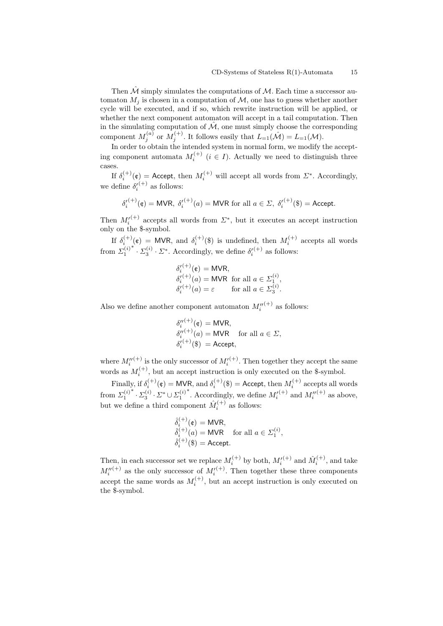Then  $\hat{\mathcal{M}}$  simply simulates the computations of  $\mathcal{M}$ . Each time a successor automaton  $M_j$  is chosen in a computation of  $M$ , one has to guess whether another cycle will be executed, and if so, which rewrite instruction will be applied, or whether the next component automaton will accept in a tail computation. Then in the simulating computation of  $\mathcal M$ , one must simply choose the corresponding component  $M_j^{(a)}$  or  $M_j^{(+)}$ . It follows easily that  $L_{=1}(\hat{\mathcal{M}}) = L_{=1}(\mathcal{M})$ .

In order to obtain the intended system in normal form, we modify the accepting component automata  $M_i^{(+)}$  ( $i \in I$ ). Actually we need to distinguish three cases.

If  $\delta_i^{(+)}(\mathfrak{e}) =$  Accept, then  $M_i^{(+)}$  will accept all words from  $\mathcal{L}^*$ . Accordingly, we define  $\delta_i^{(+)}$  as follows:

$$
\delta_i^{(+)}(\mathfrak{e}) = \text{MVR}, \ \delta_i^{(+)}(a) = \text{MVR} \text{ for all } a \in \Sigma, \ \delta_i^{(+)}(\mathfrak{F}) = \text{Accept}.
$$

Then  $M_i^{(+)}$  accepts all words from  $\Sigma^*$ , but it executes an accept instruction only on the \$-symbol.

If  $\delta_i^{(+)}(t) = MVR$ , and  $\delta_i^{(+)}(t)$  is undefined, then  $M_i^{(+)}$  accepts all words from  $\Sigma_1^{(i)}$ <sup>*\**</sup>  $\cdot$  *Z*<sub>3</sub><sup>*'*</sup>  $\cdot$  *Z*<sup>\*</sup>. Accordingly, we define  $\delta_i^{(+)}$  as follows:

$$
\delta_i^{(\dagger)}(\mathfrak{e}) = \text{MVR},
$$
  
\n
$$
\delta_i^{(\dagger)}(a) = \text{MVR} \text{ for all } a \in \Sigma_1^{(i)},
$$
  
\n
$$
\delta_i^{(\dagger)}(a) = \varepsilon \qquad \text{for all } a \in \Sigma_3^{(i)}.
$$

Also we define another component automaton  $M_i''^{(+)}$  as follows:

$$
\delta_i''^{(+)}(\mathfrak{e}) = \text{MVR}, \n\delta_i''^{(+)}(a) = \text{MVR} \quad \text{for all } a \in \Sigma, \n\delta_i^{(+)}(\mathfrak{F}) = \text{Accept},
$$

where  $M_i''^{(+)}$  is the only successor of  $M_i'^{(+)}$ . Then together they accept the same words as  $M_i^{(+)}$ , but an accept instruction is only executed on the \$-symbol. *i*

Finally, if  $\delta_i^{(+)}(\mathfrak{e}) = \text{MVR}$ , and  $\delta_i^{(+)}(\mathfrak{g}) = \text{Accept}$ , then  $M_i^{(+)}$  accepts all words from  $\Sigma_1^{(i)}$  $\cdot$  *\**  $\cdot$  *Σ*<sup>(*i*)</sup>  $\cdot$  *Σ*<sup>\*</sup>  $\cup$  *Σ*<sub>1</sub><sup>(*i*)</sup> <sup>*\**</sup>. Accordingly, we define  $M_i^{\prime ( + )}$  and  $M_i^{\prime \prime ( + )}$  as above, but we define a third component  $\hat{M}_i^{(+)}$  as follows:

$$
\begin{aligned}\n\hat{\delta}_i^{(+)}(\mathfrak{e}) &= \text{MVR}, \\
\hat{\delta}_i^{(+)}(a) &= \text{MVR} \quad \text{for all } a \in \Sigma_1^{(i)}, \\
\hat{\delta}_i^{(+)}(\mathfrak{F}) &= \text{Accept}.\n\end{aligned}
$$

Then, in each successor set we replace  $M_i^{(+)}$  by both,  $M_i^{\prime (+)}$  and  $\hat{M}_i^{(+)}$ , and take  $M_i''^{(+)}$  as the only successor of  $M_i'^{(+)}$ . Then together these three components accept the same words as  $M_i^{(+)}$ , but an accept instruction is only executed on the \$-symbol.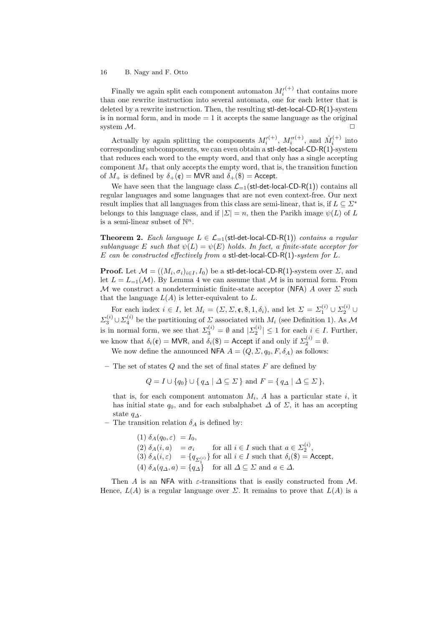Finally we again split each component automaton  $M_i^{(+)}$  that contains more than one rewrite instruction into several automata, one for each letter that is deleted by a rewrite instruction. Then, the resulting stl-det-local-CD-R(1)-system is in normal form, and in mode  $= 1$  it accepts the same language as the original system  $M$ .

Actually by again splitting the components  $M_i^{(+)}, M_i^{''(+)},$  and  $\hat{M}_i^{(+)}$  into corresponding subcomponents, we can even obtain a stl-det-local-CD-R(1)-system that reduces each word to the empty word, and that only has a single accepting component  $M_{+}$  that only accepts the empty word, that is, the transition function of  $M_+$  is defined by  $\delta_+(\mathfrak{e}) = \text{MVR}$  and  $\delta_+(\mathfrak{F}) = \text{Accept}.$ 

We have seen that the language class  $\mathcal{L}_{-1}(\text{stl-det-local-CD-R}(1))$  contains all regular languages and some languages that are not even context-free. Our next result implies that all languages from this class are semi-linear, that is, if  $L \subseteq \mathbb{Z}^*$ belongs to this language class, and if  $|\Sigma| = n$ , then the Parikh image  $\psi(L)$  of L is a semi-linear subset of  $\mathbb{N}^n$ .

**Theorem 2.** *Each language*  $L \in \mathcal{L}_{-1}(\text{stl-det-local-CD-R}(1))$  *contains a regular sublanguage*  $E$  *such that*  $\psi(L) = \psi(E)$  *holds. In fact, a finite-state acceptor for E can be constructed effectively from a* stl-det-local-CD-R(1)*-system for L.*

**Proof.** Let  $\mathcal{M} = ((M_i, \sigma_i)_{i \in I}, I_0)$  be a stl-det-local-CD-R(1)-system over  $\Sigma$ , and let  $L = L_{-1}(\mathcal{M})$ . By Lemma 4 we can assume that  $\mathcal M$  is in normal form. From *M* we construct a nondeterministic finite-state acceptor (NFA) *A* over *Σ* such that the language  $L(A)$  is letter-equivalent to  $L$ .

For each index  $i \in I$ , let  $M_i = (\Sigma, \Sigma, \mathfrak{e}, \mathfrak{F}, 1, \delta_i)$ , and let  $\Sigma = \Sigma_1^{(i)} \cup \Sigma_2^{(i)} \cup$  $\Sigma_3^{(i)} \cup \Sigma_4^{(i)}$  be the partitioning of *Σ* associated with *M<sub>i</sub>* (see Definition 1). As *M* is in normal form, we see that  $\sum_{3}^{(i)} = \emptyset$  and  $|\sum_{2}^{(i)}| \leq 1$  for each  $i \in I$ . Further, we know that  $\delta_i(\mathfrak{e}) = \text{MVR}$ , and  $\delta_i(\mathfrak{F}) = \text{Accept if and only if } \Sigma_2^{(i)} = \emptyset$ .

We now define the announced NFA  $A = (Q, \Sigma, q_0, F, \delta_A)$  as follows:

**–** The set of states *Q* and the set of final states *F* are defined by

*Q* = *I* ∪ { $q_0$ } ∪ { $q_A$  |  $\Delta$  ⊂  $\Sigma$ } and  $F = \{ q_A | \Delta \subseteq \Sigma \}$ ,

that is, for each component automaton  $M_i$ ,  $A$  has a particular state  $i$ , it has initial state  $q_0$ , and for each subalphabet  $\Delta$  of  $\Sigma$ , it has an accepting state *q∆*.

**–** The transition relation  $\delta_A$  is defined by:

(1)  $\delta_A(q_0, \varepsilon) = I_0$ , (2)  $\delta_A(i, a) = \sigma_i$  for all  $i \in I$  such that  $a \in \Sigma_2^{(i)}$ , (3)  $\delta_A(i,\varepsilon) = \{q_{\Sigma_1^{(i)}}\}$  for all  $i \in I$  such that  $\delta_i(\$) =$  Accept,  $(4)$   $\delta_A(q_\Delta, a) = \{q_\Delta\}$  for all  $\Delta \subseteq \Sigma$  and  $a \in \Delta$ .

Then *A* is an NFA with  $\varepsilon$ -transitions that is easily constructed from *M*. Hence,  $L(A)$  is a regular language over  $\Sigma$ . It remains to prove that  $L(A)$  is a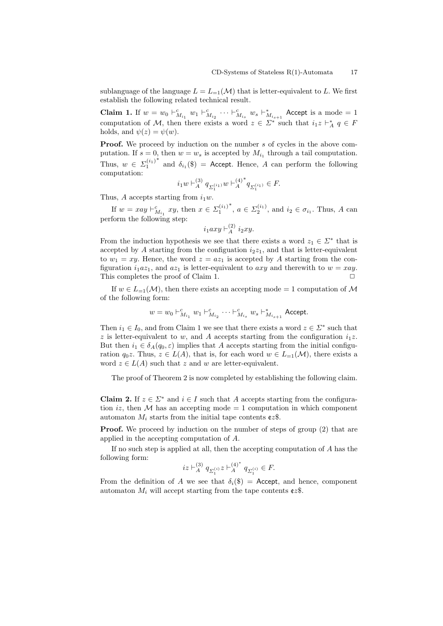sublanguage of the language  $L = L_{-1}(\mathcal{M})$  that is letter-equivalent to L. We first establish the following related technical result.

**Claim 1.** If  $w = w_0 \vdash_{M_{i_1}}^c w_1 \vdash_{M_{i_2}}^c \cdots \vdash_{M_{i_s}}^c w_s \vdash_{M_{i_{s+1}}}^*$  Accept is a mode = 1 computation of *M*, then there exists a word  $z \in \Sigma^*$  such that  $i_1 z \vdash_A^* q \in F$ holds, and  $\psi(z) = \psi(w)$ .

**Proof.** We proceed by induction on the number *s* of cycles in the above computation. If  $s = 0$ , then  $w = w_s$  is accepted by  $M_{i_1}$  through a tail computation. Thus,  $w \in \Sigma_1^{(i_1)}$ <sup>\*</sup> and  $\delta_{i_1}(\$) =$  Accept. Hence, *A* can perform the following computation:

$$
i_1w\vdash_A^{(3)} q_{\varSigma_1^{(i_1)}}w\vdash_A^{(4)^*} q_{\varSigma_1^{(i_1)}}\in F.
$$

Thus, *A* accepts starting from  $i_1w$ .

If  $w = xay \vdash_{M_{i_1}}^c xy$ , then  $x \in \Sigma_1^{(i_1)}$ <sup>*∗*</sup>, *a* ∈  $\Sigma_2^{(i_1)}$ , and *i*<sub>2</sub> ∈  $\sigma_{i_1}$ . Thus, *A* can perform the following step:

$$
i_1axy \vdash_A^{(2)} i_2xy.
$$

From the induction hypothesis we see that there exists a word  $z_1 \in \Sigma^*$  that is accepted by  $A$  starting from the configuation  $i_2z_1$ , and that is letter-equivalent to  $w_1 = xy$ . Hence, the word  $z = az_1$  is accepted by A starting from the configuration  $i_1az_1$ , and  $az_1$  is letter-equivalent to  $axy$  and therewith to  $w = xay$ . This completes the proof of Claim 1. **□** 

If  $w \in L_{-1}(\mathcal{M})$ , then there exists an accepting mode = 1 computation of  $\mathcal{M}$ of the following form:

$$
w = w_0 \vdash^c_{M_{i_1}} w_1 \vdash^c_{M_{i_2}} \cdots \vdash^c_{M_{i_s}} w_s \vdash^*_{M_{i_{s+1}}} \mathsf{Accept}.
$$

Then  $i_1 \in I_0$ , and from Claim 1 we see that there exists a word  $z \in \Sigma^*$  such that *z* is letter-equivalent to *w*, and *A* accepts starting from the configuration  $i_1z$ . But then  $i_1 \in \delta_A(q_0, \varepsilon)$  implies that *A* accepts starting from the initial configuration  $q_0z$ . Thus,  $z \in L(A)$ , that is, for each word  $w \in L_{-1}(\mathcal{M})$ , there exists a word  $z \in L(A)$  such that  $z$  and  $w$  are letter-equivalent.

The proof of Theorem 2 is now completed by establishing the following claim.

**Claim 2.** If  $z \in \Sigma^*$  and  $i \in I$  such that *A* accepts starting from the configuration *iz*, then  $M$  has an accepting mode  $= 1$  computation in which component automaton  $M_i$  starts from the initial tape contents  $cz\$ .

**Proof.** We proceed by induction on the number of steps of group (2) that are applied in the accepting computation of *A*.

If no such step is applied at all, then the accepting computation of *A* has the following form:

$$
iz \vdash_A^{(3)} q_{\Sigma_1^{(i)}} z \vdash_A^{(4)^*} q_{\Sigma_1^{(i)}} \in F.
$$

From the definition of *A* we see that  $\delta_i(\$) =$  Accept, and hence, component automaton  $M_i$  will accept starting from the tape contents  $cz\$ .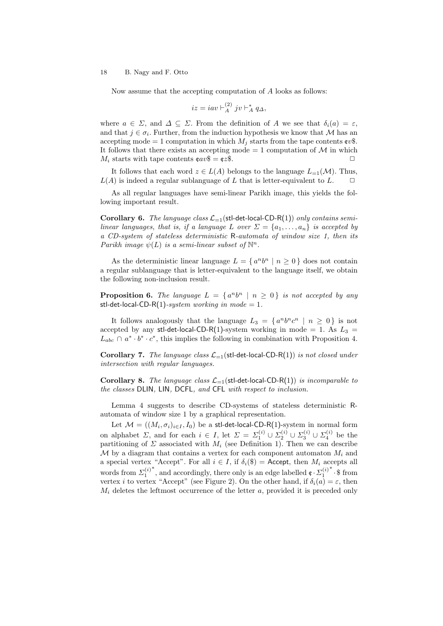Now assume that the accepting computation of *A* looks as follows:

$$
iz = iav \vdash_A^{(2)} jv \vdash_A^* q_\Delta,
$$

where  $a \in \Sigma$ , and  $\Delta \subseteq \Sigma$ . From the definition of A we see that  $\delta_i(a) = \varepsilon$ , and that  $j \in \sigma_i$ . Further, from the induction hypothesis we know that *M* has an accepting mode = 1 computation in which  $M_i$  starts from the tape contents  $\epsilon v$ \$. It follows that there exists an accepting mode  $= 1$  computation of  $\mathcal M$  in which  $M_i$  starts with tape contents  $\epsilon av\$  =  $\epsilon z\$ .

It follows that each word  $z \in L(A)$  belongs to the language  $L_{=1}(\mathcal{M})$ . Thus,  $L(A)$  is indeed a regular sublanguage of *L* that is letter-equivalent to *L*.  $\Box$ 

As all regular languages have semi-linear Parikh image, this yields the following important result.

**Corollary 6.** *The language class*  $\mathcal{L}_{-1}$  (stl-det-local-CD-R(1)) *only contains semilinear languages, that is, if a language L over*  $\Sigma = \{a_1, \ldots, a_n\}$  *is accepted by a CD-system of stateless deterministic* R*-automata of window size 1, then its Parikh image*  $\psi(L)$  *is a semi-linear subset of*  $\mathbb{N}^n$ *.* 

As the deterministic linear language  $L = \{a^n b^n \mid n \ge 0\}$  does not contain a regular sublanguage that is letter-equivalent to the language itself, we obtain the following non-inclusion result.

**Proposition 6.** The language  $L = \{a^n b^n \mid n \ge 0\}$  is not accepted by any stl-det-local-CD-R(1)-system working in mode = 1.

It follows analogously that the language  $L_3 = \{a^n b^n c^n \mid n \ge 0\}$  is not accepted by any stl-det-local-CD-R(1)-system working in mode = 1. As  $L_3$  =  $L_{abc} \cap a^* \cdot b^* \cdot c^*$ , this implies the following in combination with Proposition 4.

**Corollary 7.** *The language class*  $\mathcal{L}_{-1}$  (stl-det-local-CD-R(1)) *is not closed under intersection with regular languages.*

**Corollary 8.** *The language class*  $\mathcal{L}_{=1}$  (stl-det-local-CD-R(1)) *is incomparable to the classes* DLIN*,* LIN*,* DCFL*, and* CFL *with respect to inclusion.*

Lemma 4 suggests to describe CD-systems of stateless deterministic Rautomata of window size 1 by a graphical representation.

Let  $\mathcal{M} = ((M_i, \sigma_i)_{i \in I}, I_0)$  be a stl-det-local-CD-R(1)-system in normal form on alphabet *Σ*, and for each  $i \in I$ , let  $\Sigma = \Sigma_1^{(i)} \cup \Sigma_2^{(i)} \cup \Sigma_3^{(i)} \cup \Sigma_4^{(i)}$  be the partitioning of  $\Sigma$  associated with  $M_i$  (see Definition 1). Then we can describe  $\mathcal M$  by a diagram that contains a vertex for each component automaton  $M_i$  and a special vertex "Accept". For all  $i \in I$ , if  $\delta_i(\$) =$  Accept, then  $M_i$  accepts all words from  $\Sigma_1^{(i)}$ <sup>*<i>∗*</sup>, and accordingly, there only is an edge labelled  $\mathfrak{e} \cdot \mathfrak{L}_1^{(i)}$ </sup> *∗ ·* \$ from vertex *i* to vertex "Accept" (see Figure 2). On the other hand, if  $\delta_i(a) = \varepsilon$ , then *M<sup>i</sup>* deletes the leftmost occurrence of the letter *a*, provided it is preceded only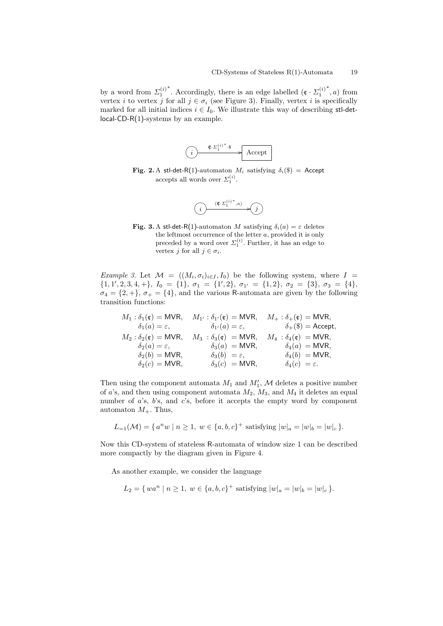by a word from  $\Sigma_1^{(i)}$ <sup>*∗*</sup>. Accordingly, there is an edge labelled ( $\mathfrak{e} \cdot \Sigma_1^{(i)}$ *∗ , a*) from vertex *i* to vertex *j* for all  $j \in \sigma_i$  (see Figure 3). Finally, vertex *i* is specifically marked for all initial indices  $i \in I_0$ . We illustrate this way of describing stl-detlocal-CD-R(1)-systems by an example.

$$
\overbrace{(i)} \xrightarrow{\mathfrak{C} \cdot \Sigma_1^{(i)*} \cdot \mathfrak{s}} \text{Accept}
$$

**Fig.** 2. A stl-det-R(1)-automaton  $M_i$  satisfying  $\delta_i$ (\$) = Accept accepts all words over  $\Sigma_1^{(i)}$ .



**Fig. 3.** A stl-det-R(1)-automaton *M* satisfying  $\delta_i(a) = \varepsilon$  deletes the leftmost occurrence of the letter *a*, provided it is only preceded by a word over  $\Sigma_1^{(i)}$ . Further, it has an edge to vertex *j* for all  $j \in \sigma_i$ .

*Example 3.* Let  $\mathcal{M} = ((M_i, \sigma_i)_{i \in I}, I_0)$  be the following system, where  $I =$  $\{1, 1', 2, 3, 4, +\}, I_0 = \{1\}, \sigma_1 = \{1', 2\}, \sigma_{1'} = \{1, 2\}, \sigma_2 = \{3\}, \sigma_3 = \{4\},\$  $\sigma_4 = \{2, +\}, \sigma_+ = \{4\}$ , and the various R-automata are given by the following transition functions:

$$
\begin{array}{lllllll} M_1: \delta_1(\mathfrak{e})= \mathsf{MVR}, & M_{1'}: \delta_{1'}(\mathfrak{e})= \mathsf{MVR}, & M_{+}: \delta_{+}(\mathfrak{e})= \mathsf{MVR}, \\ & \delta_1(a)=\varepsilon, & \delta_{1'}(a)=\varepsilon, & \delta_{+}(\$)= \mathsf{Accept}, \\ & M_2: \delta_2(\mathfrak{e})= \mathsf{MVR}, & M_3: \delta_3(\mathfrak{e})= \mathsf{MVR}, & M_4: \delta_4(\mathfrak{e})= \mathsf{MVR}, \\ & \delta_2(a)=\varepsilon, & \delta_3(a)= \mathsf{MVR}, & \delta_4(a)= \mathsf{MVR}, \\ & \delta_2(b)= \mathsf{MVR}, & \delta_3(b)=\varepsilon, & \delta_4(b)= \mathsf{MVR}, \\ & \delta_2(c)= \mathsf{MVR}, & \delta_3(c)= \mathsf{MVR}, & \delta_4(c)=\varepsilon. \end{array}
$$

Then using the component automata  $M_1$  and  $M'_1$ ,  $M$  deletes a positive number of *a*'s, and then using component automata *M*2, *M*3, and *M*<sup>4</sup> it deletes an equal number of *a*'s, *b*'s, and *c*'s, before it accepts the empty word by component automaton  $M_+$ . Thus,

$$
L_{=1}(\mathcal{M}) = \{ a^n w \mid n \ge 1, w \in \{a, b, c\}^+ \text{ satisfying } |w|_a = |w|_b = |w|_c \}.
$$

Now this CD-system of stateless R-automata of window size 1 can be described more compactly by the diagram given in Figure 4.

As another example, we consider the language

$$
L_2 = \{ wa^n \mid n \ge 1, w \in \{a, b, c\}^+ \text{ satisfying } |w|_a = |w|_b = |w|_c \}.
$$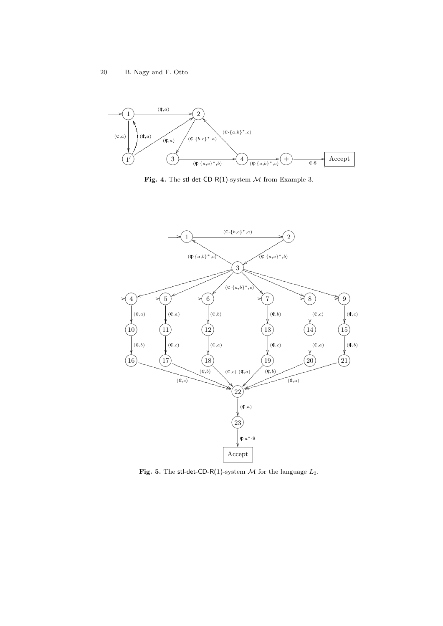

**Fig. 4.** The stl-det-CD-R(1)-system *M* from Example 3.



**Fig. 5.** The stl-det-CD-R(1)-system  $M$  for the language  $L_2$ .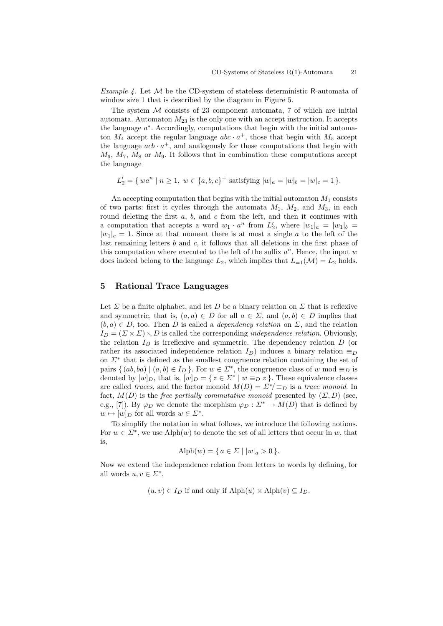*Example 4.* Let *M* be the CD-system of stateless deterministic R-automata of window size 1 that is described by the diagram in Figure 5.

The system *M* consists of 23 component automata, 7 of which are initial automata. Automaton  $M_{23}$  is the only one with an accept instruction. It accepts the language *a ∗* . Accordingly, computations that begin with the initial automaton  $M_4$  accept the regular language  $abc \cdot a^+$ , those that begin with  $M_5$  accept the language  $acb \cdot a^+$ , and analogously for those computations that begin with  $M_6$ ,  $M_7$ ,  $M_8$  or  $M_9$ . It follows that in combination these computations accept the language

$$
L'_{2} = \{ wa^{n} \mid n \ge 1, w \in \{a, b, c\}^{+} \text{ satisfying } |w|_{a} = |w|_{b} = |w|_{c} = 1 \}.
$$

An accepting computation that begins with the initial automaton *M*<sup>1</sup> consists of two parts: first it cycles through the automata  $M_1$ ,  $M_2$ , and  $M_3$ , in each round deleting the first *a*, *b*, and *c* from the left, and then it continues with a computation that accepts a word  $w_1 \cdot a^n$  from  $L'_2$ , where  $|w_1|_a = |w_1|_b =$  $|w_1|_c = 1$ . Since at that moment there is at most a single *a* to the left of the last remaining letters *b* and *c*, it follows that all deletions in the first phase of this computation where executed to the left of the suffix  $a^n$ . Hence, the input  $w$ does indeed belong to the language  $L_2$ , which implies that  $L_{=1}(\mathcal{M}) = L_2$  holds.

### **5 Rational Trace Languages**

Let  $\Sigma$  be a finite alphabet, and let  $D$  be a binary relation on  $\Sigma$  that is reflexive and symmetric, that is,  $(a, a) \in D$  for all  $a \in \Sigma$ , and  $(a, b) \in D$  implies that  $(b, a) \in D$ , too. Then *D* is called a *dependency relation* on *Σ*, and the relation  $I_D = (\Sigma \times \Sigma) \setminus D$  is called the corresponding *independence relation*. Obviously, the relation  $I_D$  is irreflexive and symmetric. The dependency relation  $D$  (or rather its associated independence relation  $I_D$ ) induces a binary relation  $\equiv_D$ on *Σ<sup>∗</sup>* that is defined as the smallest congruence relation containing the set of pairs  $\{(ab, ba) | (a, b) \in I_D\}$ . For  $w \in \Sigma^*$ , the congruence class of  $w \mod \equiv_D$  is denoted by  $[w]_D$ , that is,  $[w]_D = \{ z \in \Sigma^* \mid w \equiv_D z \}$ . These equivalence classes are called *traces*, and the factor monoid  $M(D) = \sum^* / \equiv_D$  is a *trace monoid*. In fact,  $M(D)$  is the *free partially commutative monoid* presented by  $(\Sigma, D)$  (see, e.g., [7]). By  $\varphi_D$  we denote the morphism  $\varphi_D : \Sigma^* \to M(D)$  that is defined by  $w \mapsto [w]_D$  for all words  $w \in \Sigma^*$ .

To simplify the notation in what follows, we introduce the following notions. For  $w \in \Sigma^*$ , we use Alph $(w)$  to denote the set of all letters that occur in *w*, that is,

$$
Alph(w) = \{ a \in \Sigma \mid |w|_a > 0 \}.
$$

Now we extend the independence relation from letters to words by defining, for all words  $u, v \in \Sigma^*$ ,

 $(u, v) ∈ I<sub>D</sub>$  if and only if Alph $(u) ×$  Alph $(v) ⊆ I<sub>D</sub>$ .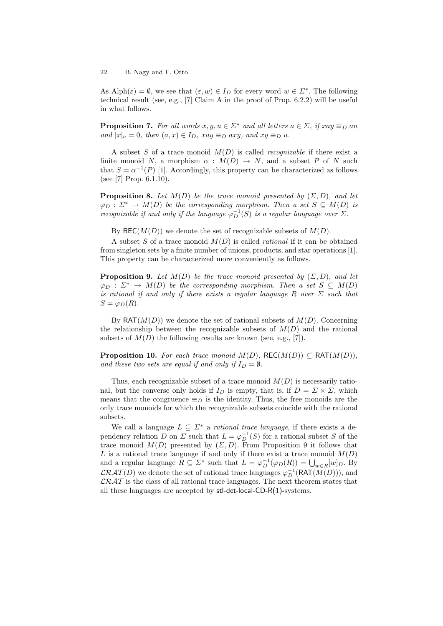As  $\text{Alpha}(\varepsilon) = \emptyset$ , we see that  $(\varepsilon, w) \in I_D$  for every word  $w \in \Sigma^*$ . The following technical result (see, e.g., [7] Claim A in the proof of Prop. 6.2.2) will be useful in what follows.

**Proposition 7.** For all words  $x, y, u \in \Sigma^*$  and all letters  $a \in \Sigma$ , if  $xay \equiv_D a u$  $and$   $|x|_a = 0$ *, then*  $(a, x) \in I_D$ *, xay*  $\equiv_D axy$ *, and*  $xy \equiv_D u$ *.* 

A subset *S* of a trace monoid *M*(*D*) is called *recognizable* if there exist a finite monoid *N*, a morphism  $\alpha : M(D) \to N$ , and a subset *P* of *N* such that  $S = \alpha^{-1}(P)$  [1]. Accordingly, this property can be characterized as follows (see [7] Prop. 6.1.10).

**Proposition 8.** Let  $M(D)$  be the trace monoid presented by  $(\Sigma, D)$ , and let  $\varphi_D : \Sigma^* \to M(D)$  *be the corresponding morphism. Then a set*  $S \subseteq M(D)$  *is recognizable if and only if the language*  $\varphi_D^{-1}(S)$  *is a regular language over*  $\Sigma$ *.* 

By REC( $M(D)$ ) we denote the set of recognizable subsets of  $M(D)$ .

A subset *S* of a trace monoid *M*(*D*) is called *rational* if it can be obtained from singleton sets by a finite number of unions, products, and star operations [1]. This property can be characterized more conveniently as follows.

**Proposition 9.** *Let*  $M(D)$  *be the trace monoid presented by*  $(\Sigma, D)$ *, and let*  $\varphi_D : \Sigma^* \to M(D)$  *be the corresponding morphism. Then a set*  $S \subseteq M(D)$ *is rational if and only if there exists a regular language*  $R$  *over*  $\Sigma$  *such that*  $S = \varphi_D(R)$ .

By  $RAT(M(D))$  we denote the set of rational subsets of  $M(D)$ . Concerning the relationship between the recognizable subsets of  $M(D)$  and the rational subsets of  $M(D)$  the following results are known (see, e.g., [7]).

**Proposition 10.** For each trace monoid  $M(D)$ , REC( $M(D)$ )  $\subseteq$  RAT( $M(D)$ ), *and these two sets are equal if and only if*  $I_D = \emptyset$ *.* 

Thus, each recognizable subset of a trace monoid  $M(D)$  is necessarily rational, but the converse only holds if  $I_D$  is empty, that is, if  $D = \Sigma \times \Sigma$ , which means that the congruence  $\equiv_D$  is the identity. Thus, the free monoids are the only trace monoids for which the recognizable subsets coincide with the rational subsets.

We call a language  $L \subseteq \Sigma^*$  a *rational trace language*, if there exists a dependency relation *D* on *Σ* such that  $L = \varphi_D^{-1}(S)$  for a rational subset *S* of the trace monoid  $M(D)$  presented by  $(\Sigma, D)$ . From Proposition 9 it follows that L is a rational trace language if and only if there exist a trace monoid  $M(D)$ and a regular language  $R \subseteq \Sigma^*$  such that  $L = \varphi_D^{-1}(\varphi_D(R)) = \bigcup_{w \in R}[w]_D$ . By  $\mathcal{LRAT}(D)$  we denote the set of rational trace languages  $\varphi_D^{-1}(\mathsf{RAT}(M(D))),$  and *LRAT* is the class of all rational trace languages. The next theorem states that all these languages are accepted by stl-det-local-CD-R(1)-systems.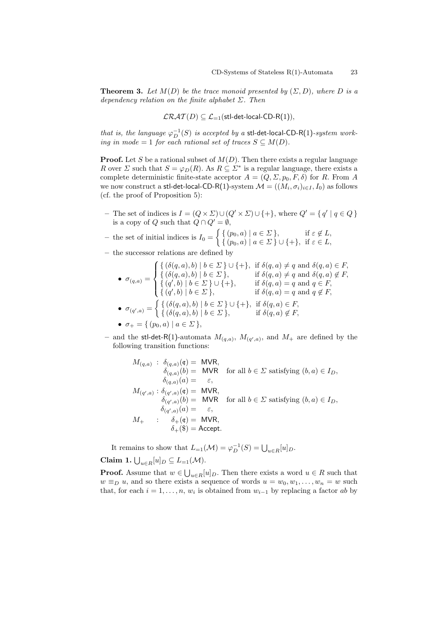**Theorem 3.** Let  $M(D)$  be the trace monoid presented by  $(\Sigma, D)$ , where D is a *dependency relation on the finite alphabet Σ. Then*

$$
\mathcal{L}\mathcal{R}\mathcal{A}\mathcal{T}(D) \subseteq \mathcal{L}_{=1}(\textsf{stl-det-local-CD-R}(1)),
$$

*that is, the language*  $\varphi_D^{-1}(S)$  *is accepted by a* stl-det-local-CD-R(1)*-system working in mode* = 1 *for each rational set of traces*  $S \subseteq M(D)$ *.* 

**Proof.** Let *S* be a rational subset of *M*(*D*). Then there exists a regular language *R* over *Σ* such that  $S = \varphi_D(R)$ . As  $R \subseteq \Sigma^*$  is a regular language, there exists a complete deterministic finite-state acceptor  $A = (Q, \Sigma, p_0, F, \delta)$  for *R*. From *A* we now construct a  $\mathsf{stl}\text{-}\mathsf{det}\text{-}\mathsf{local}\text{-}\mathsf{CD}\text{-}\mathsf{R}(1)\text{-}\mathsf{system}\;\mathcal{M} = ((M_i, \sigma_i)_{i\in I}, I_0)$  as follows (cf. the proof of Proposition 5):

- The set of indices is  $I = (Q \times \Sigma) \cup (Q' \times \Sigma) \cup \{+\}$ , where  $Q' = \{q' | q \in Q\}$ is a copy of *Q* such that  $\ddot{Q} \cap Q' = \emptyset$ ,
- $-$  the set of initial indices is  $I_0 =$  $\int \{ (p_0, a) \mid a \in \Sigma \}, \qquad \text{if } \varepsilon \notin L,$ *{* (*p*0*, a*) *| a ∈ Σ } ∪ {*+*},* if *ε ∈ L,*
- **–** the successor relations are defined by

$$
\bullet \ \sigma_{(q,a)} = \begin{cases} \{ (\delta(q,a),b) \mid b \in \Sigma \} \cup \{ + \}, & \text{if } \delta(q,a) \neq q \text{ and } \delta(q,a) \in F, \\ \{ (\delta(q,a),b) \mid b \in \Sigma \}, & \text{if } \delta(q,a) \neq q \text{ and } \delta(q,a) \notin F, \\ \{ (q',b) \mid b \in \Sigma \} \cup \{ + \}, & \text{if } \delta(q,a) = q \text{ and } q \in F, \\ \{ (q',b) \mid b \in \Sigma \}, & \text{if } \delta(q,a) = q \text{ and } q \notin F, \\ \{ (\delta(q,a),b) \mid b \in \Sigma \} \cup \{ + \}, & \text{if } \delta(q,a) \in F, \\ \{ (\delta(q,a),b) \mid b \in \Sigma \}, & \text{if } \delta(q,a) \notin F, \end{cases}
$$

$$
\bullet \ \sigma_+ = \{ (p_0, a) \mid a \in \Sigma \},
$$

 $-$  and the stl-det-R(1)-automata  $M_{(q,a)}$ ,  $M_{(q',a)}$ , and  $M_+$  are defined by the following transition functions:

$$
M_{(q,a)}: \begin{aligned}\n\delta_{(q,a)}(e) &= \text{MVR}, \\
\delta_{(q,a)}(b) &= \text{MVR} \quad \text{for all } b \in \Sigma \text{ satisfying } (b, a) \in I_D, \\
\delta_{(q,a)}(a) &= \varepsilon, \\
M_{(q',a)}: \delta_{(q',a)}(e) &= \text{MVR}, \\
\delta_{(q',a)}(b) &= \text{MVR} \quad \text{for all } b \in \Sigma \text{ satisfying } (b, a) \in I_D, \\
\delta_{(q',a)}(a) &= \varepsilon, \\
M_+: \quad \delta_+(\mathfrak{e}) &= \text{MVR}, \\
\delta_+(\mathfrak{g}) &= \text{Accept}.\n\end{aligned}
$$

It remains to show that  $L_{=1}(\mathcal{M}) = \varphi_D^{-1}(S) = \bigcup_{u \in R} [u]_D$ . **Claim 1.**  $\bigcup_{u \in R} [u]_D \subseteq L_{=1}(\mathcal{M})$ .

**Proof.** Assume that  $w \in \bigcup_{u \in R} [u]_D$ . Then there exists a word  $u \in R$  such that  $w \equiv_D u$ , and so there exists a sequence of words  $u = w_0, w_1, \ldots, w_n = w$  such that, for each  $i = 1, \ldots, n$ ,  $w_i$  is obtained from  $w_{i-1}$  by replacing a factor *ab* by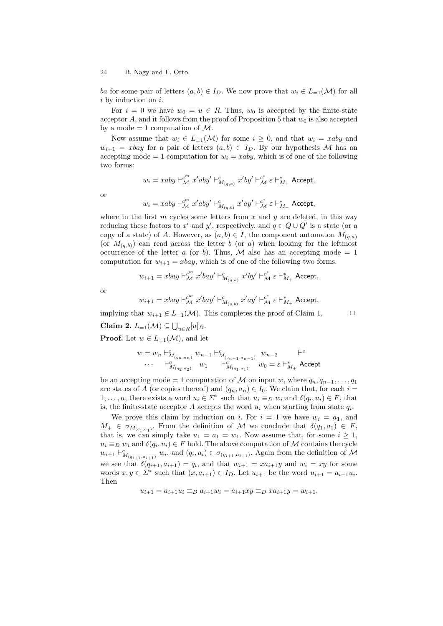*ba* for some pair of letters  $(a, b) \in I_D$ . We now prove that  $w_i \in L_{=1}(\mathcal{M})$  for all *i* by induction on *i*.

For  $i = 0$  we have  $w_0 = u \in R$ . Thus,  $w_0$  is accepted by the finite-state acceptor *A*, and it follows from the proof of Proposition 5 that  $w_0$  is also accepted by a mode  $= 1$  computation of  $\mathcal{M}$ .

Now assume that  $w_i \in L_{-1}(\mathcal{M})$  for some  $i \geq 0$ , and that  $w_i = xaby$  and  $w_{i+1} = xbay$  for a pair of letters  $(a, b) \in I_D$ . By our hypothesis *M* has an accepting mode  $= 1$  computation for  $w_i = xaby$ , which is of one of the following two forms:

$$
w_i = xaby \vdash^c_{\mathcal{M}} x'aby' \vdash^c_{M_{(q,a)}} x'by' \vdash^c_{\mathcal{M}} \varepsilon \vdash^*_{M_+} \textsf{Accept},
$$

or

$$
w_i = xaby \vdash^{{c}^{m}}_{\mathcal{M}} x'aby' \vdash^c_{M_{(q,b)}} x'ay' \vdash^{{c}^{*}}_{\mathcal{M}} \varepsilon \vdash^*_{M_+} \mathsf{Accept},
$$

where in the first *m* cycles some letters from *x* and *y* are deleted, in this way reducing these factors to  $x'$  and  $y'$ , respectively, and  $q \in Q \cup Q'$  is a state (or a copy of a state) of *A*. However, as  $(a, b) \in I$ , the component automaton  $M_{(a,a)}$ (or  $M_{(a,b)}$ ) can read across the letter *b* (or *a*) when looking for the leftmost occurrence of the letter *a* (or *b*). Thus, *M* also has an accepting mode = 1 computation for  $w_{i+1} = xbay$ , which is of one of the following two forms:

$$
w_{i+1} = xbay \vdash^{\mathcal{C}^m}_{\mathcal{M}} x'bay' \vdash^{\mathcal{C}}_{M_{(q,a)}} x'by' \vdash^{\mathcal{C}^*}_{\mathcal{M}} \varepsilon \vdash^*_{M_+} \textsf{Accept},
$$

or

$$
w_{i+1} = xbay \vdash^{{c}^{m}}_{\mathcal{M}} x'bay' \vdash^{{c}}_{M_{(q,b)}} x'ay' \vdash^{{c}^{*}}_{\mathcal{M}} \varepsilon \vdash^*_{M_{+}} \textsf{Accept},
$$

implying that  $w_{i+1} \in L_{=1}(\mathcal{M})$ . This completes the proof of Claim 1.  $\Box$ 

**Claim 2.**  $L_{=1}(\mathcal{M}) \subseteq \bigcup_{u \in R} [u]_D$ .

**Proof.** Let  $w \in L_{-1}(\mathcal{M})$ , and let

$$
w = w_n \vdash^c_{M_{(q_n, a_n)}} w_{n-1} \vdash^c_{M_{(q_n-1, a_{n-1})}} w_{n-2} \qquad \vdash^c
$$
  
.... 
$$
\vdots \qquad \qquad \vdots
$$
  

$$
w_{n-1} \vdash^c_{M_{(q_1, a_1)}} w_{n-2} \qquad \vdots
$$
  

$$
w_{n-2} \qquad \vdots
$$
  

$$
w_{n-3} \qquad \qquad \vdots
$$

be an accepting mode = 1 computation of *M* on input *w*, where  $q_n, q_{n-1}, \ldots, q_1$ are states of *A* (or copies thereof) and  $(q_n, a_n) \in I_0$ . We claim that, for each  $i =$ 1,..., *n*, there exists a word  $u_i \in \Sigma^*$  such that  $u_i \equiv_D w_i$  and  $\delta(q_i, u_i) \in F$ , that is, the finite-state acceptor  $A$  accepts the word  $u_i$  when starting from state  $q_i$ .

We prove this claim by induction on *i*. For  $i = 1$  we have  $w_i = a_1$ , and  $M_+ \in \sigma_{M_{(q_1, q_1)}}$ . From the definition of *M* we conclude that  $\delta(q_1, a_1) \in F$ , that is, we can simply take  $u_1 = a_1 = w_1$ . Now assume that, for some  $i \geq 1$ ,  $u_i \equiv_D w_i$  and  $\delta(q_i, u_i) \in F$  hold. The above computation of *M* contains the cycle  $w_{i+1} \vdash^c_{M_{(q_{i+1},a_{i+1})}} w_i$ , and  $(q_i, a_i) \in \sigma_{(q_{i+1},a_{i+1})}$ . Again from the definition of M we see that  $\delta(q_{i+1}, a_{i+1}) = q_i$ , and that  $w_{i+1} = xa_{i+1}y$  and  $w_i = xy$  for some words  $x, y \in \Sigma^*$  such that  $(x, a_{i+1}) \in I_D$ . Let  $u_{i+1}$  be the word  $u_{i+1} = a_{i+1}u_i$ . Then

$$
u_{i+1} = a_{i+1}u_i \equiv_D a_{i+1}w_i = a_{i+1}xy \equiv_D xa_{i+1}y = w_{i+1},
$$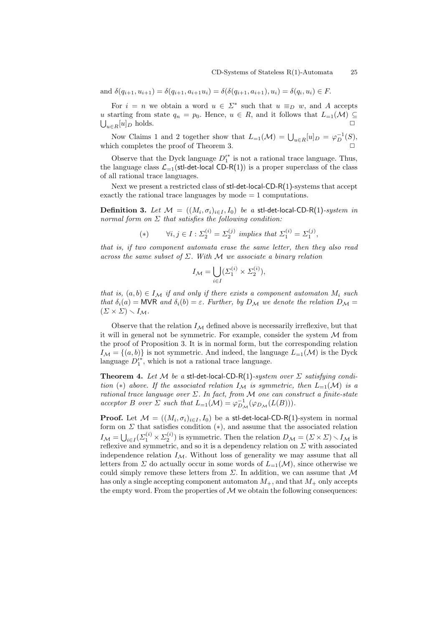and  $\delta(q_{i+1}, u_{i+1}) = \delta(q_{i+1}, a_{i+1}u_i) = \delta(\delta(q_{i+1}, a_{i+1}), u_i) = \delta(q_i, u_i) \in F$ .

For  $i = n$  we obtain a word  $u \in \Sigma^*$  such that  $u \equiv_D w$ , and A accepts *u* starting from state  $q_n = p_0$ . Hence,  $u \in R$ , and it follows that  $L_{=1}(\mathcal{M}) \subseteq$  $\bigcup_{u \in R} [u]_D$  holds.  $□$ 

Now Claims 1 and 2 together show that  $L_{=1}(\mathcal{M}) = \bigcup_{u \in R}[u]_D = \varphi_D^{-1}(S)$ , which completes the proof of Theorem 3.

Observe that the Dyck language  $D'^{*}$  is not a rational trace language. Thus, the language class  $\mathcal{L}_{-1}(\text{stl-det-local CD-R}(1))$  is a proper superclass of the class of all rational trace languages.

Next we present a restricted class of stl-det-local-CD-R(1)-systems that accept exactly the rational trace languages by mode = 1 computations.

 $\bf{Definition 3. } \ \textit{Let} \ \mathcal{M} \ = \ ((M_i, \sigma_i)_{i \in I}, I_0) \ \ \textit{be} \ \ a \ \ \textsf{stl-det-local-CD-R(1)}\textit{-system in}$ *normal form on Σ that satisfies the following condition:*

(\*) 
$$
\forall i, j \in I : \Sigma_2^{(i)} = \Sigma_2^{(j)}
$$
 implies that  $\Sigma_1^{(i)} = \Sigma_1^{(j)}$ ,

*that is, if two component automata erase the same letter, then they also read across the same subset of Σ. With M we associate a binary relation*

$$
I_{\mathcal{M}} = \bigcup_{i \in I} (\Sigma_1^{(i)} \times \Sigma_2^{(i)}),
$$

*that is,*  $(a, b) \in I_{\mathcal{M}}$  *if and only if there exists a component automaton*  $M_i$  *such that*  $\delta_i(a) = \text{MVR}$  *and*  $\delta_i(b) = \varepsilon$ *. Further, by*  $D_{\mathcal{M}}$  *we denote the relation*  $D_{\mathcal{M}} =$  $(\Sigma \times \Sigma) \setminus I_{\mathcal{M}}$ .

Observe that the relation  $I_M$  defined above is necessarily irreflexive, but that it will in general not be symmetric. For example, consider the system *M* from the proof of Proposition 3. It is in normal form, but the corresponding relation  $I_M = \{(a, b)\}\$ is not symmetric. And indeed, the language  $L_{=1}(\mathcal{M})$  is the Dyck language  $D_1^{i*}$ , which is not a rational trace language.

**Theorem 4.** Let  $M$  be a stl-det-local-CD-R(1)-system over  $\Sigma$  satisfying condi*tion* (\*) *above.* If the associated relation  $I_{\mathcal{M}}$  is symmetric, then  $L_{=1}(\mathcal{M})$  is a *rational trace language over Σ. In fact, from M one can construct a finite-state acceptor B over*  $\Sigma$  *such that*  $L_{=1}(\mathcal{M}) = \varphi_{D_{\mathcal{M}}}^{-1}(\varphi_{D_{\mathcal{M}}}(L(B))).$ 

**Proof.** Let  $\mathcal{M} = ((M_i, \sigma_i)_{i \in I}, I_0)$  be a stl-det-local-CD-R(1)-system in normal form on  $\Sigma$  that satisfies condition  $(*)$ , and assume that the associated relation  $I_{\mathcal{M}} = \bigcup_{i \in I} (\Sigma_1^{(i)} \times \Sigma_2^{(i)})$  is symmetric. Then the relation  $D_{\mathcal{M}} = (\Sigma \times \Sigma) \setminus I_{\mathcal{M}}$  is reflexive and symmetric, and so it is a dependency relation on *Σ* with associated independence relation  $I_M$ . Without loss of generality we may assume that all letters from  $\Sigma$  do actually occur in some words of  $L_{=1}(\mathcal{M})$ , since otherwise we could simply remove these letters from *Σ*. In addition, we can assume that *M* has only a single accepting component automaton  $M_{+}$ , and that  $M_{+}$  only accepts the empty word. From the properties of  $\mathcal M$  we obtain the following consequences: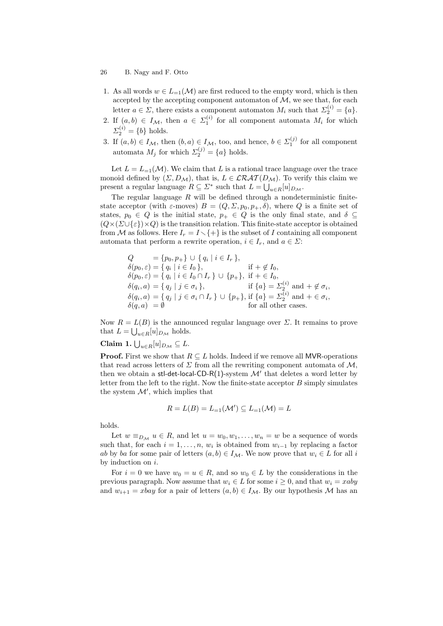- 1. As all words  $w \in L_{-1}(\mathcal{M})$  are first reduced to the empty word, which is then accepted by the accepting component automaton of  $M$ , we see that, for each letter  $a \in \Sigma$ , there exists a component automaton  $M_i$  such that  $\Sigma_2^{(i)} = \{a\}$ .
- 2. If  $(a, b) \in I_{\mathcal{M}}$ , then  $a \in \Sigma_1^{(i)}$  for all component automata  $M_i$  for which  $\Sigma_2^{(i)} = \{b\}$  holds.
- 3. If  $(a, b) \in I_{\mathcal{M}}$ , then  $(b, a) \in I_{\mathcal{M}}$ , too, and hence,  $b \in \Sigma_1^{(j)}$  for all component automata  $M_j$  for which  $\Sigma_2^{(j)} = \{a\}$  holds.

Let  $L = L_{-1}(\mathcal{M})$ . We claim that L is a rational trace language over the trace monoid defined by  $(\Sigma, D_{\mathcal{M}})$ , that is,  $L \in \mathcal{LRAT}(D_{\mathcal{M}})$ . To verify this claim we present a regular language  $R \subseteq \Sigma^*$  such that  $L = \bigcup_{u \in R} [u]_{D_M}$ .

The regular language *R* will be defined through a nondeterministic finitestate acceptor (with  $\varepsilon$ -moves)  $B = (Q, \Sigma, p_0, p_+, \delta)$ , where *Q* is a finite set of states,  $p_0 \in Q$  is the initial state,  $p_+ \in Q$  is the only final state, and  $\delta \subseteq$  $(Q \times (\Sigma \cup \{\varepsilon\}) \times Q)$  is the transition relation. This finite-state acceptor is obtained from *M* as follows. Here  $I_r = I \setminus \{+\}$  is the subset of *I* containing all component automata that perform a rewrite operation,  $i \in I_r$ , and  $a \in \Sigma$ :

$$
Q = \{p_0, p_+\} \cup \{q_i \mid i \in I_r\},
$$
  
\n
$$
\delta(p_0, \varepsilon) = \{q_i \mid i \in I_0\}, \quad \text{if } + \notin I_0,
$$
  
\n
$$
\delta(p_0, \varepsilon) = \{q_i \mid i \in I_0 \cap I_r\} \cup \{p_+\}, \text{if } + \in I_0,
$$
  
\n
$$
\delta(q_i, a) = \{q_j \mid j \in \sigma_i\}, \quad \text{if } \{a\} = \Sigma_2^{(i)} \text{ and } + \notin \sigma_i,
$$
  
\n
$$
\delta(q_i, a) = \{q_j \mid j \in \sigma_i \cap I_r\} \cup \{p_+\}, \text{if } \{a\} = \Sigma_2^{(i)} \text{ and } + \in \sigma_i,
$$
  
\n
$$
\delta(q, a) = \emptyset \quad \text{for all other cases.}
$$

Now  $R = L(B)$  is the announced regular language over  $\Sigma$ . It remains to prove that  $L = \bigcup_{u \in R} [u]_{D_{\mathcal{M}}}$  holds.

# **Claim 1.** ∪ *<sup>u</sup>∈<sup>R</sup>*[*u*]*<sup>D</sup><sup>M</sup> ⊆ L*.

**Proof.** First we show that  $R \subseteq L$  holds. Indeed if we remove all MVR-operations that read across letters of  $\Sigma$  from all the rewriting component automata of M, then we obtain a stl-det-local-CD-R(1)-system  $\mathcal{M}'$  that deletes a word letter by letter from the left to the right. Now the finite-state acceptor *B* simply simulates the system  $\mathcal{M}'$ , which implies that

$$
R = L(B) = L_{=1}(\mathcal{M}') \subseteq L_{=1}(\mathcal{M}) = L
$$

holds.

Let  $w \equiv_{D_M} u \in R$ , and let  $u = w_0, w_1, \ldots, w_n = w$  be a sequence of words such that, for each  $i = 1, \ldots, n$ ,  $w_i$  is obtained from  $w_{i-1}$  by replacing a factor *ab* by *ba* for some pair of letters  $(a, b) \in I_{\mathcal{M}}$ . We now prove that  $w_i \in L$  for all *i* by induction on *i*.

For  $i = 0$  we have  $w_0 = u \in R$ , and so  $w_0 \in L$  by the considerations in the previous paragraph. Now assume that  $w_i \in L$  for some  $i \geq 0$ , and that  $w_i = xaby$ and  $w_{i+1} = xbay$  for a pair of letters  $(a, b) \in I_{\mathcal{M}}$ . By our hypothesis *M* has an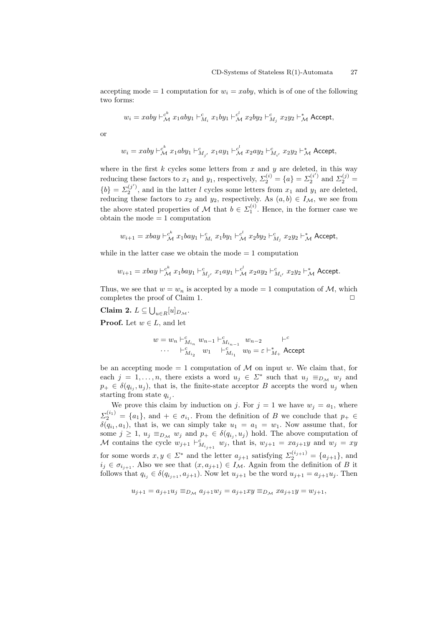accepting mode  $= 1$  computation for  $w_i = xaby$ , which is of one of the following two forms:

$$
w_i = xaby \vdash_{\mathcal{M}}^{c^k} x_1aby_1 \vdash_{M_i}^{c} x_1by_1 \vdash_{\mathcal{M}}^{c^l} x_2by_2 \vdash_{M_j}^{c} x_2y_2 \vdash_{\mathcal{M}}^{*} \textsf{Accept},
$$

or

$$
w_i = xaby \vdash_{\mathcal{M}}^{c^k} x_1aby_1 \vdash_{M_{j'}}^c x_1ay_1 \vdash_{\mathcal{M}}^{c^l} x_2ay_2 \vdash_{M_{i'}}^c x_2y_2 \vdash_{\mathcal{M}}^s \textsf{Accept},
$$

where in the first  $k$  cycles some letters from  $x$  and  $y$  are deleted, in this way reducing these factors to  $x_1$  and  $y_1$ , respectively,  $\Sigma_2^{(i)} = \{a\} = \Sigma_2^{(i')}$  and  $\Sigma_2^{(j)} =$  ${b}$  =  $\Sigma_2^{(j')}$ , and in the latter *l* cycles some letters from *x*<sub>1</sub> and *y*<sub>1</sub> are deleted, reducing these factors to  $x_2$  and  $y_2$ , respectively. As  $(a, b) \in I_{\mathcal{M}}$ , we see from the above stated properties of *M* that  $b \in \Sigma_1^{(i)}$ . Hence, in the former case we  $obtain the mode = 1 computation$ 

$$
w_{i+1} = xbay \vdash_{\mathcal{M}}^{\mathcal{c}^k} x_1 bay_1 \vdash_{M_i}^{\mathcal{c}} x_1 by_1 \vdash_{\mathcal{M}}^{\mathcal{c}^l} x_2 by_2 \vdash_{M_j}^{\mathcal{c}} x_2 y_2 \vdash_{\mathcal{M}}^{\ast} \mathsf{Accept},
$$

while in the latter case we obtain the mode  $= 1$  computation

$$
w_{i+1} = xbay \vdash^c_{\mathcal{M}} x_1 bay_1 \vdash^c_{M_{j'}} x_1 ay_1 \vdash^c_{\mathcal{M}} x_2 ay_2 \vdash^c_{M_{i'}} x_2 y_2 \vdash^*_{\mathcal{M}} \text{Accept.}
$$

Thus, we see that  $w = w_n$  is accepted by a mode = 1 computation of  $M$ , which completes the proof of Claim 1.  $\Box$ 

**Claim 2.**  $L \subseteq \bigcup_{u \in R} [u]_{D_{\mathcal{M}}}$ .

**Proof.** Let  $w \in L$ , and let

$$
\begin{array}{cccc} w=w_n \vdash^c_{M_{i_n}} w_{n-1} \vdash^c_{M_{i_{n-1}}} w_{n-2} & \vdash^c \\ \cdots & \vdash^c_{M_{i_2}} w_1 & \vdash^c_{M_{i_1}} w_0 = \varepsilon \vdash^*_{M_+} {\sf Accept} \end{array}
$$

be an accepting mode  $= 1$  computation of *M* on input *w*. We claim that, for each  $j = 1, ..., n$ , there exists a word  $u_j \in \Sigma^*$  such that  $u_j \equiv_{D_{\mathcal{M}}} w_j$  and  $p_+ \in \delta(q_{i_j}, u_j)$ , that is, the finite-state acceptor *B* accepts the word  $u_j$  when starting from state *q<sup>i</sup><sup>j</sup>* .

We prove this claim by induction on *j*. For  $j = 1$  we have  $w_j = a_1$ , where  $\Sigma_2^{(i_1)} = \{a_1\}$ , and  $+ \in \sigma_{i_1}$ . From the definition of *B* we conclude that  $p_+ \in$  $\delta(q_{i_1}, a_1)$ , that is, we can simply take  $u_1 = a_1 = w_1$ . Now assume that, for some  $j \geq 1$ ,  $u_j \equiv_{D_M} w_j$  and  $p_+ \in \delta(q_{i_j}, u_j)$  hold. The above computation of *M* contains the cycle  $w_{j+1} \vdash_{M_{i_{j+1}}}^c w_j$ , that is,  $w_{j+1} = xa_{j+1}y$  and  $w_j = xy$ for some words  $x, y \in \Sigma^*$  and the letter  $a_{j+1}$  satisfying  $\Sigma_2^{(i_{j+1})} = \{a_{j+1}\}\$ , and  $i_j \in \sigma_{i_{j+1}}$ . Also we see that  $(x, a_{j+1}) \in I_{\mathcal{M}}$ . Again from the definition of *B* it follows that  $q_{i_j} \in \delta(q_{i_{j+1}}, a_{j+1})$ . Now let  $u_{j+1}$  be the word  $u_{j+1} = a_{j+1}u_j$ . Then

$$
u_{j+1} = a_{j+1}u_j \equiv_{D_{\mathcal{M}}} a_{j+1}w_j = a_{j+1}xy \equiv_{D_{\mathcal{M}}} xa_{j+1}y = w_{j+1},
$$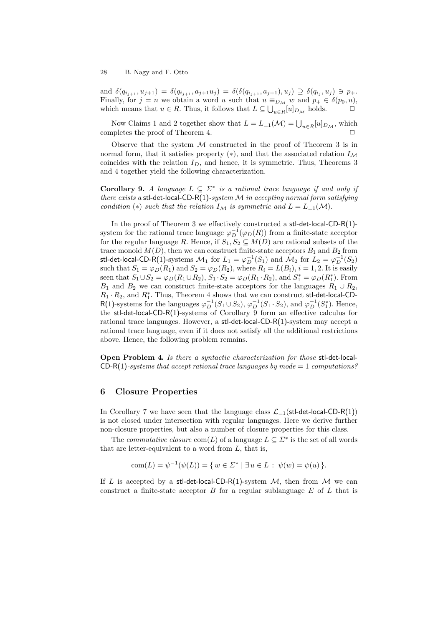and  $\delta(q_{i_{j+1}}, u_{j+1}) = \delta(q_{i_{j+1}}, a_{j+1}u_j) = \delta(\delta(q_{i_{j+1}}, a_{j+1}), u_j) \supseteq \delta(q_{i_j}, u_j) \ni p_+.$ Finally, for  $j = n$  we obtain a word *u* such that  $u \equiv_{D_M} w$  and  $p_+ \in \delta(p_0, u)$ , which means that  $u \in R$ . Thus, it follows that  $L \subseteq \bigcup_{u \in R} [u]_{D_M}$  holds.  $\Box$ 

Now Claims 1 and 2 together show that  $L = L_{=1}(\mathcal{M}) = \bigcup_{u \in R}[u]_{D_{\mathcal{M}}}$ , which completes the proof of Theorem 4.

Observe that the system *M* constructed in the proof of Theorem 3 is in normal form, that it satisfies property (*∗*), and that the associated relation *I<sup>M</sup>* coincides with the relation  $I_D$ , and hence, it is symmetric. Thus, Theorems 3 and 4 together yield the following characterization.

**Corollary 9.** *A language*  $L \subseteq \Sigma^*$  *is a rational trace language if and only if there exists a* stl-det-local-CD-R(1)*-system M in accepting normal form satisfying condition* (\*) *such that the relation*  $I_M$  *is symmetric and*  $L = L_{=1}(M)$ *.* 

In the proof of Theorem 3 we effectively constructed a stl-det-local-CD-R(1) system for the rational trace language  $\varphi_D^{-1}(\varphi_D(R))$  from a finite-state acceptor for the regular language *R*. Hence, if  $S_1, S_2 \subseteq M(D)$  are rational subsets of the trace monoid  $M(D)$ , then we can construct finite-state acceptors  $B_1$  and  $B_2$  from stl-det-local-CD-R(1)-systems  $\mathcal{M}_1$  for  $L_1 = \varphi_D^{-1}(S_1)$  and  $\mathcal{M}_2$  for  $L_2 = \varphi_D^{-1}(S_2)$ such that  $S_1 = \varphi_D(R_1)$  and  $S_2 = \varphi_D(R_2)$ , where  $R_i = L(B_i), i = 1, 2$ . It is easily seen that  $S_1 \cup S_2 = \varphi_D(R_1 \cup R_2), S_1 \cdot S_2 = \varphi_D(R_1 \cdot R_2), \text{ and } S_1^* = \varphi_D(R_1^*).$  From *B*<sub>1</sub> and *B*<sub>2</sub> we can construct finite-state acceptors for the languages  $R_1 \cup R_2$ ,  $R_1 \cdot R_2$ , and  $R_1^*$ . Thus, Theorem 4 shows that we can construct stl-det-local-CD-R(1)-systems for the languages  $\varphi_D^{-1}(S_1 \cup S_2)$ ,  $\varphi_D^{-1}(S_1 \cdot S_2)$ , and  $\varphi_D^{-1}(S_1^*)$ . Hence, the stl-det-local-CD-R(1)-systems of Corollary 9 form an effective calculus for rational trace languages. However, a stl-det-local-CD-R(1)-system may accept a rational trace language, even if it does not satisfy all the additional restrictions above. Hence, the following problem remains.

**Open Problem 4.** *Is there a syntactic characterization for those* stl-det-local-CD-R(1)*-systems that accept rational trace languages by mode* = 1 *computations?*

#### **6 Closure Properties**

In Corollary 7 we have seen that the language class  $\mathcal{L}_{-1}(\text{st-det-local-CD-R}(1))$ is not closed under intersection with regular languages. Here we derive further non-closure properties, but also a number of closure properties for this class.

The *commutative closure*  $com(L)$  of a language  $L \subseteq \Sigma^*$  is the set of all words that are letter-equivalent to a word from *L*, that is,

com
$$
(L) = \psi^{-1}(\psi(L)) = \{ w \in \Sigma^* \mid \exists u \in L : \psi(w) = \psi(u) \}.
$$

If *L* is accepted by a stl-det-local-CD-R(1)-system  $M$ , then from  $M$  we can construct a finite-state acceptor *B* for a regular sublanguage *E* of *L* that is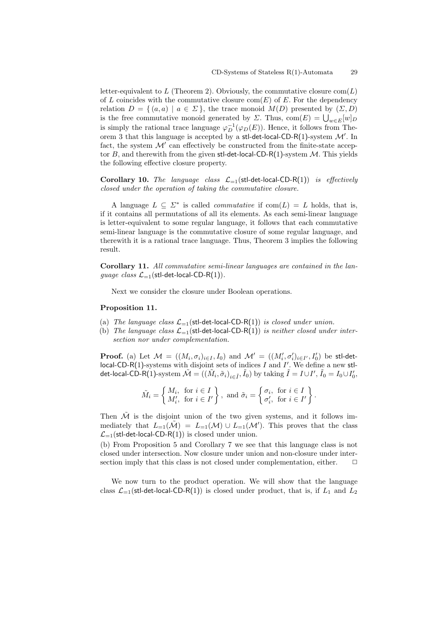letter-equivalent to L (Theorem 2). Obviously, the commutative closure  $com(L)$ of *L* coincides with the commutative closure com(*E*) of *E*. For the dependency relation  $D = \{ (a, a) | a \in \Sigma \}$ , the trace monoid  $M(D)$  presented by  $(\Sigma, D)$ is the free commutative monoid generated by *Σ*. Thus,  $com(E) = \bigcup_{w \in E} [w]_D$ is simply the rational trace language  $\varphi_D^{-1}(\varphi_D(E))$ . Hence, it follows from Theorem 3 that this language is accepted by a stl-det-local-CD-R(1)-system *M′* . In fact, the system  $\mathcal{M}'$  can effectively be constructed from the finite-state acceptor *B*, and therewith from the given stl-det-local-CD-R(1)-system *M*. This yields the following effective closure property.

**Corollary 10.** *The language class L*=1(stl-det-local-CD-R(1)) *is effectively closed under the operation of taking the commutative closure.*

A language  $L \subseteq \Sigma^*$  is called *commutative* if  $com(L) = L$  holds, that is, if it contains all permutations of all its elements. As each semi-linear language is letter-equivalent to some regular language, it follows that each commutative semi-linear language is the commutative closure of some regular language, and therewith it is a rational trace language. Thus, Theorem 3 implies the following result.

**Corollary 11.** *All commutative semi-linear languages are contained in the language class*  $\mathcal{L}_{-1}$ (stl-det-local-CD-R(1)).

Next we consider the closure under Boolean operations.

#### **Proposition 11.**

- (a) *The language class*  $\mathcal{L}_{=1}$  (stl-det-local-CD-R(1)) *is closed under union.*
- (b) *The language class*  $\mathcal{L}_{=1}$  (stl-det-local-CD-R(1)) *is neither closed under intersection nor under complementation.*

**Proof.** (a) Let  $\mathcal{M} = ((M_i, \sigma_i)_{i \in I}, I_0)$  and  $\mathcal{M}' = ((M'_i, \sigma'_i)_{i \in I'}, I'_0)$  be sti-detlocal-CD-R(1)-systems with disjoint sets of indices *I* and *I ′* . We define a new stldet-local-CD-R(1)-system  $\tilde{\mathcal{M}}=((\tilde{M}_i,\tilde{\sigma}_i)_{i\in \tilde{I}},\tilde{I}_0)$  by taking  $\tilde{I}=I\cup I',\,\tilde{I}_0=I_0\cup I'_0,$ 

$$
\tilde{M}_i = \left\{ \begin{matrix} M_i, & \text{for } i \in I \\ M'_i, & \text{for } i \in I' \end{matrix} \right\}, \text{ and } \tilde{\sigma}_i = \left\{ \begin{matrix} \sigma_i, & \text{for } i \in I \\ \sigma'_i, & \text{for } i \in I' \end{matrix} \right\}.
$$

Then  $\tilde{\mathcal{M}}$  is the disjoint union of the two given systems, and it follows immediately that  $L_{=1}(\tilde{\mathcal{M}}) = L_{=1}(\mathcal{M}) \cup L_{=1}(\mathcal{M}')$ . This proves that the class  $\mathcal{L}_{=1}$ (stl-det-local-CD-R(1)) is closed under union.

(b) From Proposition 5 and Corollary 7 we see that this language class is not closed under intersection. Now closure under union and non-closure under intersection imply that this class is not closed under complementation, either.  $\Box$ 

We now turn to the product operation. We will show that the language class  $\mathcal{L}_{=1}$ (stl-det-local-CD-R(1)) is closed under product, that is, if  $L_1$  and  $L_2$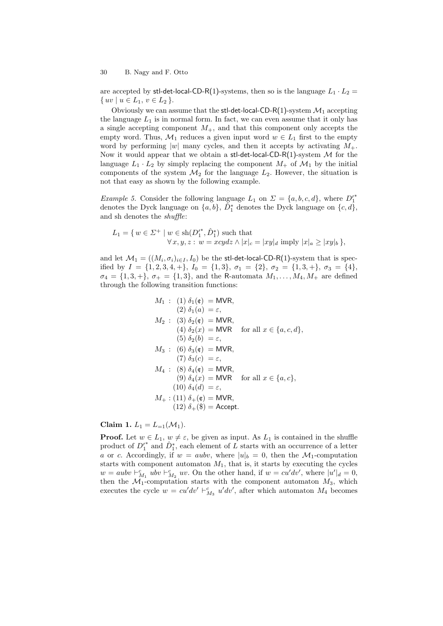are accepted by stl-det-local-CD-R(1)-systems, then so is the language  $L_1 \cdot L_2$  =  $\{ uv \mid u \in L_1, v \in L_2 \}.$ 

Obviously we can assume that the stl-det-local-CD-R(1)-system  $\mathcal{M}_1$  accepting the language  $L_1$  is in normal form. In fact, we can even assume that it only has a single accepting component  $M_{+}$ , and that this component only accepts the empty word. Thus,  $\mathcal{M}_1$  reduces a given input word  $w \in L_1$  first to the empty word by performing  $|w|$  many cycles, and then it accepts by activating  $M_+$ . Now it would appear that we obtain a stl-det-local-CD-R(1)-system *M* for the language  $L_1 \cdot L_2$  by simply replacing the component  $M_+$  of  $\mathcal{M}_1$  by the initial components of the system  $\mathcal{M}_2$  for the language  $L_2$ . However, the situation is not that easy as shown by the following example.

*Example 5.* Consider the following language  $L_1$  on  $\Sigma = \{a, b, c, d\}$ , where  $D_1^*$ denotes the Dyck language on  $\{a, b\}$ ,  $\tilde{D}_1^*$  denotes the Dyck language on  $\{c, d\}$ , and sh denotes the *shuffle*:

$$
L_1 = \{ w \in \Sigma^+ \mid w \in \text{sh}(D_1^{\prime *}, \hat{D}_1^*) \text{ such that } \newline \forall x, y, z : w = xcydz \land |x|_c = |xy|_d \text{ imply } |x|_a \ge |xy|_b \},
$$

and let  $\mathcal{M}_1 = ((M_i, \sigma_i)_{i \in I}, I_0)$  be the stl-det-local-CD-R(1)-system that is specified by  $I = \{1, 2, 3, 4, +\}, I_0 = \{1, 3\}, \sigma_1 = \{2\}, \sigma_2 = \{1, 3, +\}, \sigma_3 = \{4\},\$  $\sigma_4 = \{1, 3, +\}, \sigma_+ = \{1, 3\},\$ and the R-automata  $M_1, \ldots, M_4, M_+$  are defined through the following transition functions:

$$
M_1: (1) \delta_1(\mathfrak{e}) = \text{MVR},
$$
  
\n
$$
(2) \delta_1(a) = \varepsilon,
$$
  
\n
$$
M_2: (3) \delta_2(\mathfrak{e}) = \text{MVR},
$$
  
\n
$$
(4) \delta_2(x) = \text{MVR} \quad \text{for all } x \in \{a, c, d\},
$$
  
\n
$$
(5) \delta_2(b) = \varepsilon,
$$
  
\n
$$
M_3: (6) \delta_3(\mathfrak{e}) = \text{MVR},
$$
  
\n
$$
(7) \delta_3(c) = \varepsilon,
$$
  
\n
$$
M_4: (8) \delta_4(\mathfrak{e}) = \text{MVR},
$$
  
\n
$$
(9) \delta_4(x) = \text{MVR} \quad \text{for all } x \in \{a, c\},
$$
  
\n
$$
(10) \delta_4(d) = \varepsilon,
$$
  
\n
$$
M_+: (11) \delta_+(\mathfrak{e}) = \text{MVR},
$$
  
\n
$$
(12) \delta_+(\mathfrak{F}) = \text{Accept}.
$$

**Claim 1.**  $L_1 = L_{-1}(\mathcal{M}_1)$ .

**Proof.** Let  $w \in L_1$ ,  $w \neq \varepsilon$ , be given as input. As  $L_1$  is contained in the shuffle product of  $D_1^{\prime*}$  and  $\hat{D}_1^*$ , each element of *L* starts with an occurrence of a letter *a* or *c*. Accordingly, if  $w = aubv$ , where  $|u|_b = 0$ , then the  $\mathcal{M}_1$ -computation starts with component automaton  $M_1$ , that is, it starts by executing the cycles  $w = aubv \vdash^c_{M_1} ubv \vdash^c_{M_2} uv$ . On the other hand, if  $w = cu'dv'$ , where  $|u'|_d = 0$ , then the  $\mathcal{M}_1$ -computation starts with the component automaton  $M_3$ , which executes the cycle  $w = cu'dv' + c_{M_3}^c u'dv'$ , after which automaton  $M_4$  becomes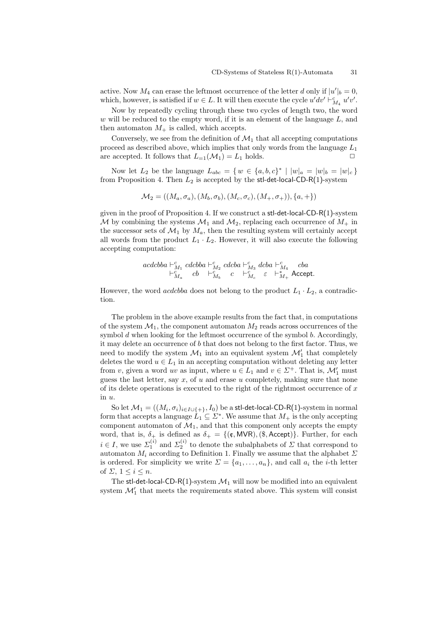active. Now  $M_4$  can erase the leftmost occurrence of the letter *d* only if  $|u'|_b = 0$ , which, however, is satisfied if  $w \in L$ . It will then execute the cycle  $u'dv' \vdash^c_{M_4} u'v'$ .

Now by repeatedly cycling through these two cycles of length two, the word *w* will be reduced to the empty word, if it is an element of the language *L*, and then automaton  $M_{+}$  is called, which accepts.

Conversely, we see from the definition of  $\mathcal{M}_1$  that all accepting computations proceed as described above, which implies that only words from the language *L*<sup>1</sup> are accepted. It follows that  $L_{=1}(\mathcal{M}_1) = L_1$  holds.  $\Box$ 

Now let  $L_2$  be the language  $L_{abc} = \{ w \in \{a, b, c\}^* \mid |w|_a = |w|_b = |w|_c \}$ from Proposition 4. Then *L*<sup>2</sup> is accepted by the stl-det-local-CD-R(1)-system

$$
\mathcal{M}_2 = ((M_a, \sigma_a), (M_b, \sigma_b), (M_c, \sigma_c), (M_+, \sigma_+)), \{a, +\})
$$

given in the proof of Proposition 4. If we construct a stl-det-local-CD-R(1)-system *M* by combining the systems  $M_1$  and  $M_2$ , replacing each occurrence of  $M_+$  in the successor sets of  $\mathcal{M}_1$  by  $M_a$ , then the resulting system will certainly accept all words from the product  $L_1 \cdot L_2$ . However, it will also execute the following accepting computation:

$$
\begin{array}{ccc} acdcbba\vdash^{c}_{M_1}cdcbba\vdash^{c}_{M_2}cdcba\vdash^{c}_{M_3}dcba\vdash^{c}_{M_4} & cba\\ \vdash^{c}_{M_a} & cb\quad \vdash^{c}_{M_b} & c\quad \vdash^{c}_{M_c} & \varepsilon\quad \vdash^{*}_{M_+} \text{Accept.} \end{array}
$$

However, the word *acdcbba* does not belong to the product  $L_1 \cdot L_2$ , a contradiction.

The problem in the above example results from the fact that, in computations of the system  $\mathcal{M}_1$ , the component automaton  $M_2$  reads across occurrences of the symbol *d* when looking for the leftmost occurrence of the symbol *b*. Accordingly, it may delete an occurrence of *b* that does not belong to the first factor. Thus, we need to modify the system  $\mathcal{M}_1$  into an equivalent system  $\mathcal{M}'_1$  that completely deletes the word  $u \in L_1$  in an accepting computation without deleting any letter from *v*, given a word *uv* as input, where  $u \in L_1$  and  $v \in \Sigma^+$ . That is,  $\mathcal{M}'_1$  must guess the last letter, say *x*, of *u* and erase *u* completely, making sure that none of its delete operations is executed to the right of the rightmost occurrence of *x* in *u*.

So let  $\mathcal{M}_1 = ((M_i, \sigma_i)_{i \in I \cup \{+\}}, I_0)$  be a stl-det-local-CD-R(1)-system in normal form that accepts a language  $\tilde{L}_1 \subseteq \Sigma^*$ . We assume that  $M_+$  is the only accepting component automaton of  $\mathcal{M}_1$ , and that this component only accepts the empty word, that is,  $\delta_+$  is defined as  $\delta_+ = \{(\mathfrak{e}, \mathsf{MVR}), (\mathfrak{F}, \mathsf{Accept})\}$ . Further, for each  $i \in I$ , we use  $\sum_{1}^{(i)}$  and  $\sum_{2}^{(i)}$  to denote the subalphabets of  $\Sigma$  that correspond to automaton  $M_i$  according to Definition 1. Finally we assume that the alphabet  $\Sigma$ is ordered. For simplicity we write  $\Sigma = \{a_1, \ldots, a_n\}$ , and call  $a_i$  the *i*-th letter of  $\Sigma$ ,  $1 \leq i \leq n$ .

The stl-det-local-CD-R(1)-system  $\mathcal{M}_1$  will now be modified into an equivalent system  $\mathcal{M}'_1$  that meets the requirements stated above. This system will consist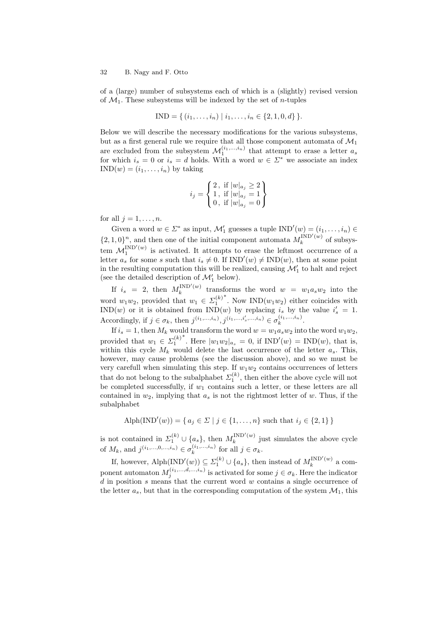of a (large) number of subsystems each of which is a (slightly) revised version of  $\mathcal{M}_1$ . These subsystems will be indexed by the set of *n*-tuples

$$
IND = \{ (i_1, \ldots, i_n) \mid i_1, \ldots, i_n \in \{2, 1, 0, d\} \}.
$$

Below we will describe the necessary modifications for the various subsystems, but as a first general rule we require that all those component automata of  $\mathcal{M}_1$ are excluded from the subsystem  $\mathcal{M}_1^{(i_1,...,i_n)}$  that attempt to erase a letter  $a_s$ for which  $i_s = 0$  or  $i_s = d$  holds. With a word  $w \in \Sigma^*$  we associate an index  $IND(w) = (i_1, \ldots, i_n)$  by taking

$$
i_j = \left\{ \begin{matrix} 2 \,,\text{ if } |w|_{a_j} \geq 2 \\ 1 \,,\text{ if } |w|_{a_j} = 1 \\ 0 \,,\text{ if } |w|_{a_j} = 0 \end{matrix} \right\}
$$

for all  $i = 1, \ldots, n$ .

Given a word  $w \in \Sigma^*$  as input,  $\mathcal{M}'_1$  guesses a tuple  $IND'(w) = (i_1, \ldots, i_n) \in$  $\{2, 1, 0\}^n$ , and then one of the initial component automata  $M_k^{\text{IND}'(w)}$  $k^{(W)}$  of subsystem  $\mathcal{M}_1^{\text{IND}'(w)}$  is activated. It attempts to erase the leftmost occurrence of a letter  $a_s$  for some *s* such that  $i_s \neq 0$ . If  $IND'(w) \neq IND(w)$ , then at some point in the resulting computation this will be realized, causing  $\mathcal{M}'_1$  to halt and reject (see the detailed description of  $\mathcal{M}'_1$  below).

If  $i_s = 2$ , then  $M_k^{\text{IND}'(w)}$  $\int_{k}^{\ln(D(w))}$  transforms the word  $w = w_1 a_s w_2$  into the word  $w_1w_2$ , provided that  $w_1 \in \Sigma_1^{(k)}$ *∗* . Now IND(*w*1*w*2) either coincides with IND(*w*) or it is obtained from IND(*w*) by replacing  $i_s$  by the value  $i'_s = 1$ . Accordingly, if  $j \in \sigma_k$ , then  $j^{(i_1,...,i_n)}$ ,  $j^{(i_1,...,i'_s,...,i_n)} \in \sigma_k^{(i_1,...,i_n)}$ .

If  $i_s = 1$ , then  $M_k$  would transform the word  $w = w_1 a_s w_2$  into the word  $w_1 w_2$ , provided that  $w_1 \in \Sigma_1^{(k)}$ <sup>*∗*</sup>. Here  $|w_1w_2|_{a_s} = 0$ , if  $IND'(w) = IND(w)$ , that is, within this cycle  $M_k$  would delete the last occurrence of the letter  $a_s$ . This, however, may cause problems (see the discussion above), and so we must be very carefull when simulating this step. If  $w_1w_2$  contains occurrences of letters that do not belong to the subalphabet  $\mathcal{Z}_1^{(k)}$ , then either the above cycle will not be completed successfully, if *w*<sup>1</sup> contains such a letter, or these letters are all contained in  $w_2$ , implying that  $a_s$  is not the rightmost letter of  $w$ . Thus, if the subalphabet

Alph(IND'(w)) = { 
$$
a_j \in \Sigma \mid j \in \{1, ..., n\}
$$
 such that  $i_j \in \{2, 1\}$  }

is not contained in  $\Sigma_1^{(k)} \cup \{a_s\}$ , then  $M_k^{\text{IND}'(w)}$  $\frac{1}{k}$ <sup>liv</sup>D<sup>(*w*)</sup> just simulates the above cycle of  $M_k$ , and  $j^{(i_1,...,0,...,i_n)} \in \sigma_k^{(i_1,...,i_n)}$  for all  $j \in \sigma_k$ .

If, however, Alph(IND<sup>'</sup>(*w*))  $\subseteq \Sigma_1^{(k)} \cup \{a_s\}$ , then instead of  $M_k^{\text{IND}'(w)}$  $\frac{1}{k}$  (*w*) a component automaton  $M_j^{(i_1,\ldots,i_i,\ldots,i_n)}$  is activated for some  $j \in \sigma_k$ . Here the indicator *d* in position *s* means that the current word *w* contains a single occurrence of the letter  $a_s$ , but that in the corresponding computation of the system  $\mathcal{M}_1$ , this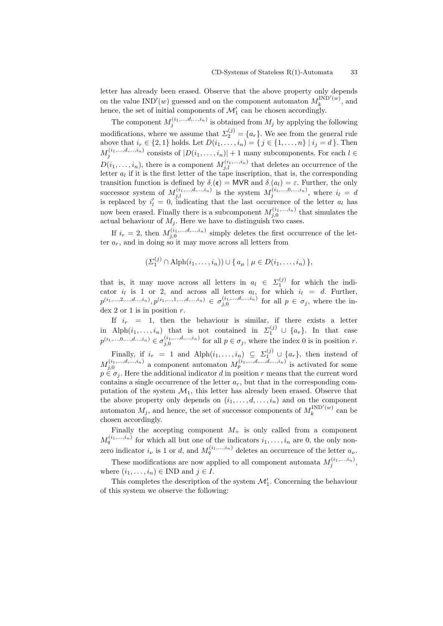letter has already been erased. Observe that the above property only depends on the value  $IND'(w)$  guessed and on the component automaton  $M_k^{IND'(w)}$  $\binom{n}{k}$ , and hence, the set of initial components of  $\mathcal{M}'_1$  can be chosen accordingly.

The component  $M_j^{(i_1,\ldots,i_i,\ldots,i_n)}$  is obtained from  $M_j$  by applying the following modifications, where we assume that  $\Sigma_2^{(j)} = \{a_r\}$ . We see from the general rule above that  $i_r \in \{2, 1\}$  holds. Let  $D(i_1, \ldots, i_n) = \{j \in \{1, \ldots, n\} \mid i_j = d\}$ . Then  $M_j^{(i_1,...,d,...,i_n)}$  consists of  $|D(i_1,...,i_n)|+1$  many subcomponents. For each  $l \in$  $D(i_1, \ldots, i_n)$ , there is a component  $M_{j,l}^{(i_1, \ldots, i_n)}$  that deletes an occurrence of the letter  $a_l$  if it is the first letter of the tape inscription, that is, the corresponding transition function is defined by  $\delta(\mathfrak{e}) = \text{MVR}$  and  $\delta(a_l) = \varepsilon$ . Further, the only successor system of  $M_{j,l}^{(i_1,\ldots,i_l,\ldots,i_n)}$  is the system  $M_j^{(i_1,\ldots,i_l,\ldots,i_n)}$ , where  $i_l = d$ is replaced by  $i'_{l} = 0$ , indicating that the last occurrence of the letter  $a_{l}$  has now been erased. Finally there is a subcomponent  $M_{j,0}^{(i_1,\ldots,i_n)}$  that simulates the actual behaviour of  $M_j$ . Here we have to distinguish two cases.

If  $i_r = 2$ , then  $M_{j,0}^{(i_1,...,d,...,i_n)}$  simply deletes the first occurrence of the letter  $a_r$ , and in doing so it may move across all letters from

$$
(\Sigma_1^{(j)} \cap \mathrm{Alph}(i_1,\ldots,i_n)) \cup \{a_\mu \mid \mu \in D(i_1,\ldots,i_n)\},
$$

that is, it may move across all letters in  $a_l \in \Sigma_1^{(j)}$  for which the indicator  $i_l$  is 1 or 2, and across all letters  $a_l$ , for which  $i_l = d$ . Further,  $p^{(i_1,...,2,...,d...i_n)}, p^{(i_1,...,1,...,d,...,i_n)} \in \sigma_{j,0}^{(i_1,...,d,...,i_n)}$  for all  $p \in \sigma_j$ , where the index 2 or 1 is in position *r*.

If  $i_r = 1$ , then the behaviour is similar, if there exists a letter in Alph $(i_1, \ldots, i_n)$  that is not contained in  $\Sigma_1^{(j)} \cup \{a_r\}$ . In that case  $p^{(i_1,...,0,...,d...i_n)} \in \sigma_{j,0}^{(i_1,...,d,...,i_n)}$  for all  $p \in \sigma_j$ , where the index 0 is in position *r*. Finally, if  $i_r = 1$  and  $\text{Alph}(i_1, \ldots, i_n) \subseteq \Sigma_1^{(j)} \cup \{a_r\}$ , then instead of  $M_{j,0}^{(i_1,...,d,...,i_n)}$  a component automaton  $M_p^{(i_1,...,d,...,i_n)}$  is activated for some  $p \in \sigma_i$ . Here the additional indicator *d* in position *r* means that the current word contains a single occurrence of the letter *ar*, but that in the corresponding computation of the system  $\mathcal{M}_1$ , this letter has already been erased. Observe that the above property only depends on  $(i_1, \ldots, d, \ldots, i_n)$  and on the component automaton  $M_j$ , and hence, the set of successor components of  $M_k^{\text{IND}'(w)}$  $k^{(IVD)(w)}$  can be chosen accordingly.

Finally the accepting component  $M_{+}$  is only called from a component  $M_q^{(i_1,\ldots,i_n)}$  for which all but one of the indicators  $i_1,\ldots,i_n$  are 0, the only nonzero indicator  $i_{\nu}$  is 1 or *d*, and  $M_q^{(i_1,...,i_n)}$  deletes an occurrence of the letter  $a_{\nu}$ .

These modifications are now applied to all component automata  $M_j^{(i_1,...,i_n)}$ , where  $(i_1, \ldots, i_n) \in \text{IND}$  and  $j \in I$ .

This completes the description of the system  $\mathcal{M}'_1$ . Concerning the behaviour of this system we observe the following: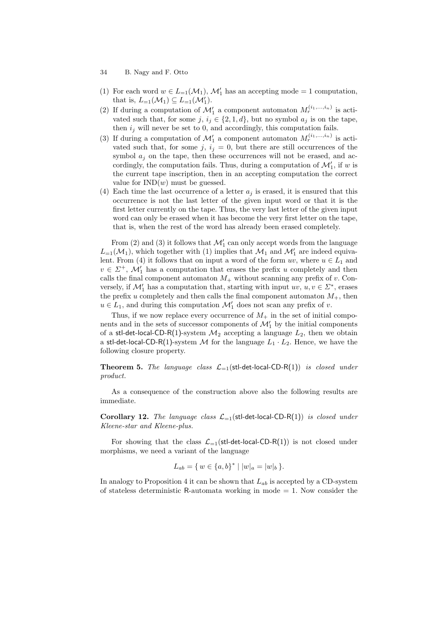- 34 B. Nagy and F. Otto
- (1) For each word  $w \in L_{=1}(\mathcal{M}_1)$ ,  $\mathcal{M}'_1$  has an accepting mode = 1 computation, that is,  $L_{=1}(\mathcal{M}_1) \subseteq L_{=1}(\mathcal{M}'_1)$ .
- (2) If during a computation of  $\mathcal{M}'_1$  a component automaton  $M_r^{(i_1,...,i_n)}$  is activated such that, for some  $j, i_j \in \{2, 1, d\}$ , but no symbol  $a_j$  is on the tape, then  $i_j$  will never be set to 0, and accordingly, this computation fails.
- (3) If during a computation of  $\mathcal{M}'_1$  a component automaton  $M_r^{(i_1,...,i_n)}$  is activated such that, for some  $j, i_j = 0$ , but there are still occurrences of the symbol  $a_j$  on the tape, then these occurrences will not be erased, and accordingly, the computation fails. Thus, during a computation of  $\mathcal{M}'_1$ , if *w* is the current tape inscription, then in an accepting computation the correct value for  $IND(w)$  must be guessed.
- (4) Each time the last occurrence of a letter  $a_j$  is erased, it is ensured that this occurrence is not the last letter of the given input word or that it is the first letter currently on the tape. Thus, the very last letter of the given input word can only be erased when it has become the very first letter on the tape, that is, when the rest of the word has already been erased completely.

From (2) and (3) it follows that  $\mathcal{M}'_1$  can only accept words from the language  $L_{=1}(\mathcal{M}_1)$ , which together with (1) implies that  $\mathcal{M}_1$  and  $\mathcal{M}'_1$  are indeed equivalent. From (4) it follows that on input a word of the form  $uv$ , where  $u \in L_1$  and  $v \in \mathbb{Z}^+$ ,  $\mathcal{M}'_1$  has a computation that erases the prefix *u* completely and then calls the final component automaton  $M_+$  without scanning any prefix of  $v$ . Conversely, if  $\mathcal{M}'_1$  has a computation that, starting with input  $uv, u, v \in \mathbb{Z}^*$ , erases the prefix  $u$  completely and then calls the final component automaton  $M_{+}$ , then  $u \in L_1$ , and during this computation  $\mathcal{M}'_1$  does not scan any prefix of *v*.

Thus, if we now replace every occurrence of  $M_+$  in the set of initial components and in the sets of successor components of  $\mathcal{M}'_1$  by the initial components of a stl-det-local-CD-R(1)-system  $\mathcal{M}_2$  accepting a language  $L_2$ , then we obtain a stl-det-local-CD-R(1)-system  $M$  for the language  $L_1 \cdot L_2$ . Hence, we have the following closure property.

**Theorem 5.** *The language class L*=1(stl-det-local-CD-R(1)) *is closed under product.*

As a consequence of the construction above also the following results are immediate.

**Corollary 12.** *The language class*  $\mathcal{L}_{-1}$ (stl-det-local-CD-R(1)) *is closed under Kleene-star and Kleene-plus.*

For showing that the class  $\mathcal{L}_{-1}(\text{stl-det-local-CD-R}(1))$  is not closed under morphisms, we need a variant of the language

$$
L_{ab} = \{ w \in \{a, b\}^* \mid |w|_a = |w|_b \}.
$$

In analogy to Proposition 4 it can be shown that *Lab* is accepted by a CD-system of stateless deterministic R-automata working in mode  $= 1$ . Now consider the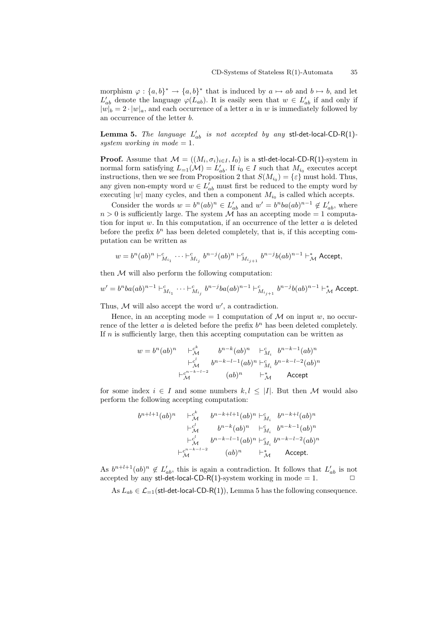morphism  $\varphi : \{a, b\}^* \to \{a, b\}^*$  that is induced by  $a \mapsto ab$  and  $b \mapsto b$ , and let  $L'_{ab}$  denote the language  $\varphi(L_{ab})$ . It is easily seen that  $w \in L'_{ab}$  if and only if  $|w|_b = 2 \cdot |w|_a$ , and each occurrence of a letter *a* in *w* is immediately followed by an occurrence of the letter *b*.

**Lemma 5.** *The language*  $L'_{ab}$  *is not accepted by any* stl-det-local-CD-R(1)*system working in mode*  $= 1$ *.* 

**Proof.** Assume that  $\mathcal{M} = ((M_i, \sigma_i)_{i \in I}, I_0)$  is a stl-det-local-CD-R(1)-system in normal form satisfying  $L_{=1}(\mathcal{M}) = L'_{ab}$ . If  $i_0 \in I$  such that  $M_{i_0}$  executes accept instructions, then we see from Proposition 2 that  $S(M_{i_0}) = {\varepsilon}$  must hold. Thus, any given non-empty word  $w \in L'_{ab}$  must first be reduced to the empty word by executing  $|w|$  many cycles, and then a component  $M_{i_0}$  is called which accepts.

Consider the words  $w = b^n (ab)^n \in L'_{ab}$  and  $w' = b^n ba(ab)^{n-1} \notin L'_{ab}$ , where  $n > 0$  is sufficiently large. The system  $\overline{\mathcal{M}}$  has an accepting mode = 1 computation for input *w*. In this computation, if an occurrence of the letter *a* is deleted before the prefix  $b^n$  has been deleted completely, that is, if this accepting computation can be written as

$$
w = b^{n} (ab)^{n} \vdash^{c}_{M_{i_1}} \cdots \vdash^{c}_{M_{i_j}} b^{n-j} (ab)^{n} \vdash^{c}_{M_{i_{j+1}}} b^{n-j} b (ab)^{n-1} \vdash^{*}_{\mathcal{M}} \textsf{Accept},
$$

then  $M$  will also perform the following computation:

$$
w' = b^n ba(ab)^{n-1} + a_{M_{i_1}}^c \cdots + a_{M_{i_j}}^c b^{n-j}ba(ab)^{n-1} + a_{M_{i_{j+1}}}^c b^{n-j}b(ab)^{n-1} + a_{M}
$$
 Accept.

Thus,  $M$  will also accept the word  $w'$ , a contradiction.

Hence, in an accepting mode  $= 1$  computation of  $\mathcal M$  on input  $w$ , no occurrence of the letter  $a$  is deleted before the prefix  $b^n$  has been deleted completely. If *n* is sufficiently large, then this accepting computation can be written as

$$
w = bn(ab)n + \frac{ck}{M} bn-k(ab)n + \frac{cM}{M} bn-k-1(ab)n
$$
  
+ 
$$
\frac{cl}{M} bn-k-l-1(ab)n + \frac{cn}{M} bn-k-l-2(ab)n
$$
  
+ 
$$
\frac{cn-k-l-2}{M} (ab)n + \frac{cn}{M} Accept
$$

for some index  $i \in I$  and some numbers  $k, l \leq |I|$ . But then *M* would also perform the following accepting computation:

$$
b^{n+l+1}(ab)^n \xrightarrow{+c^k} b^{n-k+l+1}(ab)^n + c^l_{M_i} b^{n-k+l}(ab)^n
$$
  
\n
$$
+ c^l_{\mathcal{M}} b^{n-k}(ab)^n + c^l_{M_i} b^{n-k-1}(ab)^n
$$
  
\n
$$
+ c^l_{\mathcal{M}} b^{n-k-l-1}(ab)^n + c^l_{M_i} b^{n-k-l-2}(ab)^n
$$
  
\n
$$
+ c^{n-k-l-2}_{\mathcal{M}} (ab)^n + c^k_{\mathcal{M}} \text{Accept.}
$$

As  $b^{n+l+1}(ab)^n \notin L'_{ab}$ , this is again a contradiction. It follows that  $L'_{ab}$  is not accepted by any stl-det-local-CD-R(1)-system working in mode  $= 1$ .

As  $L_{ab} \in \mathcal{L}_{-1}$ (stl-det-local-CD-R(1)), Lemma 5 has the following consequence.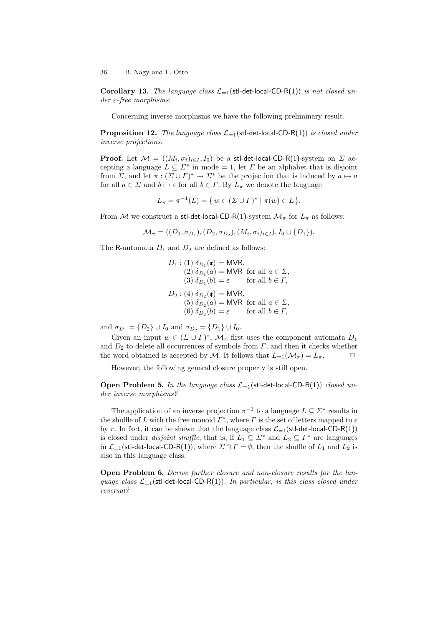**Corollary 13.** *The language class*  $\mathcal{L}_{=1}$  (stl-det-local-CD-R(1)) *is not closed under ε-free morphisms.*

Concerning inverse morphisms we have the following preliminary result.

**Proposition 12.** *The language class*  $\mathcal{L}_{=1}$ (stl-det-local-CD-R(1)) *is closed under inverse projections.*

**Proof.** Let  $\mathcal{M} = ((M_i, \sigma_i)_{i \in I}, I_0)$  be a stl-det-local-CD-R(1)-system on  $\mathcal{L}$  accepting a language  $L \subseteq \Sigma^*$  in mode = 1, let *Γ* be an alphabet that is disjoint from *Σ*, and let  $\pi : (\Sigma \cup \Gamma)^* \to \Sigma^*$  be the projection that is induced by  $a \mapsto a$ for all  $a \in \Sigma$  and  $b \mapsto \varepsilon$  for all  $b \in \Gamma$ . By  $L_{\pi}$  we denote the language

$$
L_{\pi} = \pi^{-1}(L) = \{ w \in (\Sigma \cup \Gamma)^* \mid \pi(w) \in L \}.
$$

From *M* we construct a stl-det-local-CD-R(1)-system  $\mathcal{M}_{\pi}$  for  $L_{\pi}$  as follows:

$$
\mathcal{M}_{\pi} = ((D_1, \sigma_{D_1}), (D_2, \sigma_{D_2}), (M_i, \sigma_i)_{i \in I}), I_0 \cup \{D_1\}).
$$

The R-automata  $D_1$  and  $D_2$  are defined as follows:

$$
D_1: (1) \delta_{D_1}(\mathfrak{e}) = \text{MVR},
$$
  
\n(2)  $\delta_{D_1}(a) = \text{MVR}$  for all  $a \in \Sigma$ ,  
\n(3)  $\delta_{D_1}(b) = \varepsilon$  for all  $b \in \Gamma$ ,  
\n
$$
D_2: (4) \delta_{D_2}(\mathfrak{e}) = \text{MVR},
$$
  
\n(5)  $\delta_{D_2}(a) = \text{MVR}$  for all  $a \in \Sigma$ ,  
\n(6)  $\delta_{D_2}(b) = \varepsilon$  for all  $b \in \Gamma$ ,

and  $\sigma_{D_1} = \{D_2\} \cup I_0$  and  $\sigma_{D_2} = \{D_1\} \cup I_0$ .

Given an input  $w \in (\Sigma \cup \Gamma)^*$ ,  $\mathcal{M}_{\pi}$  first uses the component automata  $D_1$ and  $D_2$  to delete all occurrences of symbols from  $\Gamma$ , and then it checks whether the word obtained is accepted by *M*. It follows that  $L_{=1}(\mathcal{M}_{\pi}) = L_{\pi}$ .

However, the following general closure property is still open.

**Open Problem 5.** In the language class  $\mathcal{L}_{-1}$  (stl-det-local-CD-R(1)) *closed under inverse morphisms?*

The application of an inverse projection  $\pi^{-1}$  to a language  $L \subseteq \Sigma^*$  results in the shuffle of *L* with the free monoid  $\Gamma^*$ , where  $\Gamma$  is the set of letters mapped to  $\varepsilon$ by *π*. In fact, it can be shown that the language class  $\mathcal{L}_{-1}(\text{stl-det-local-CD-R}(1))$ is closed under *disjoint shuffle*, that is, if  $L_1 \subseteq \Sigma^*$  and  $L_2 \subseteq \Gamma^*$  are languages in  $\mathcal{L}_{=1}$ (stl-det-local-CD-R(1)), where  $\Sigma \cap \Gamma = \emptyset$ , then the shuffle of  $L_1$  and  $L_2$  is also in this language class.

**Open Problem 6.** *Derive further closure and non-closure results for the language class*  $\mathcal{L}_{-1}$ (stl-det-local-CD-R(1)). In particular, is this class closed under *reversal?*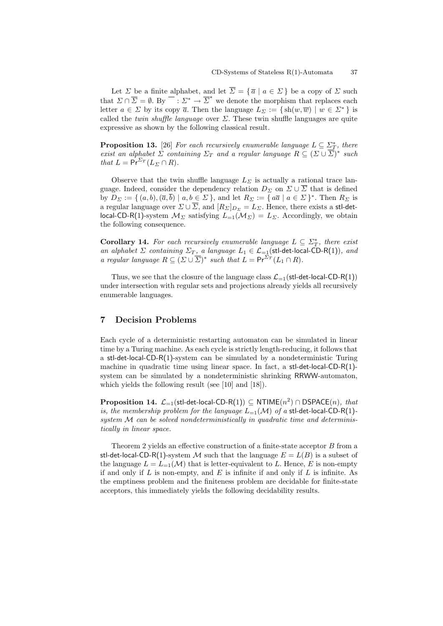Let *Σ* be a finite alphabet, and let  $\overline{\Sigma} = {\overline{a} \mid a \in \Sigma}$  be a copy of *Σ* such that  $\Sigma \cap \overline{\Sigma} = \emptyset$ . By  $\overline{\Sigma}^* \to \overline{\Sigma}^*$  we denote the morphism that replaces each letter  $a \in \Sigma$  by its copy  $\overline{a}$ . Then the language  $L_{\Sigma} := \{ \text{sh}(w, \overline{w}) \mid w \in \Sigma^* \}$  is called the *twin shuffle language* over  $\Sigma$ . These twin shuffle languages are quite expressive as shown by the following classical result.

**Proposition 13.** [26] *For each recursively enumerable language*  $L \subseteq \sum_{T}^*$ , there *exist an alphabet*  $\Sigma$  *containing*  $\Sigma_T$  *and a regular language*  $R \subseteq (\Sigma \cup \overline{\Sigma})^*$  *such that*  $L = \Pr^{\Sigma_T}(L_{\Sigma} \cap R)$ *.* 

Observe that the twin shuffle language  $L<sub>Σ</sub>$  is actually a rational trace language. Indeed, consider the dependency relation  $D_{\Sigma}$  on  $\Sigma \cup \overline{\Sigma}$  that is defined by  $D_{\Sigma} := \{ (a, b), (\overline{a}, \overline{b}) \mid a, b \in \Sigma \}$ , and let  $R_{\Sigma} := \{ a\overline{a} \mid a \in \Sigma \}^*$ . Then  $R_{\Sigma}$  is a regular language over  $\Sigma \cup \overline{\Sigma}$ , and  $[R_{\Sigma}]_{D_{\Sigma}} = L_{\Sigma}$ . Hence, there exists a stl-detlocal-CD-R(1)-system  $M_{\Sigma}$  satisfying  $L_{=1}(M_{\Sigma}) = L_{\Sigma}$ . Accordingly, we obtain the following consequence.

**Corollary 14.** For each recursively enumerable language  $L \subseteq \Sigma^*_T$ , there exist *an alphabet*  $\Sigma$  *containing*  $\Sigma_T$ *, a language*  $L_1 \in \mathcal{L}_{-1}$ (stl-det-local-CD-R(1))*, and a regular language*  $R \subseteq (\Sigma \cup \overline{\Sigma})^*$  *such that*  $L = \Pr^{\Sigma_T}(L_1 \cap R)$ *.* 

Thus, we see that the closure of the language class  $\mathcal{L}_{-1}(\text{stl-det-local-CD-R}(1))$ under intersection with regular sets and projections already yields all recursively enumerable languages.

# **7 Decision Problems**

Each cycle of a deterministic restarting automaton can be simulated in linear time by a Turing machine. As each cycle is strictly length-reducing, it follows that a stl-det-local-CD-R(1)-system can be simulated by a nondeterministic Turing machine in quadratic time using linear space. In fact, a st-det-local-CD-R(1)system can be simulated by a nondeterministic shrinking RRWW-automaton, which yields the following result (see [10] and [18]).

 ${\bf Proposition \ 14.}$   ${\cal L}_{=1}(\text{stl-det-local-CD-R(1)})\subseteq {\sf NTIME}(n^2)\cap {\sf DSPACE}(n),$   $that$ *is, the membership problem for the language*  $L_{=1}(\mathcal{M})$  *of a* stl-det-local-CD-R(1)*system M can be solved nondeterministically in quadratic time and deterministically in linear space.*

Theorem 2 yields an effective construction of a finite-state acceptor *B* from a stl-det-local-CD-R(1)-system M such that the language  $E = L(B)$  is a subset of the language  $L = L_{-1}(\mathcal{M})$  that is letter-equivalent to L. Hence, E is non-empty if and only if *L* is non-empty, and *E* is infinite if and only if *L* is infinite. As the emptiness problem and the finiteness problem are decidable for finite-state acceptors, this immediately yields the following decidability results.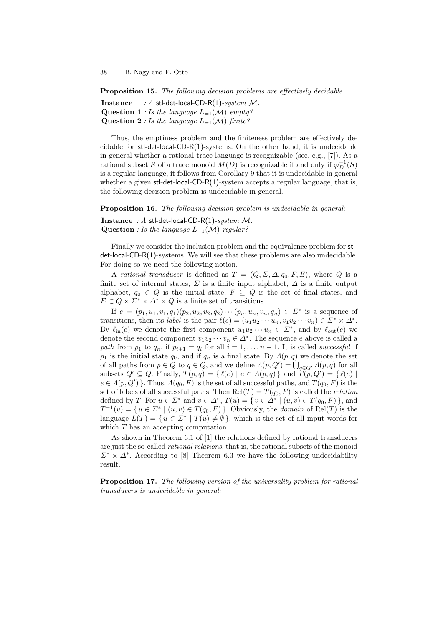**Proposition 15.** *The following decision problems are effectively decidable:*

**Instance** *: A* stl-det-local-CD-R(1)*-system M.* **Question 1** *: Is the language*  $L_{=1}(\mathcal{M})$  *empty?* **Question 2** *: Is the language*  $L_{=1}(\mathcal{M})$  *finite?* 

Thus, the emptiness problem and the finiteness problem are effectively decidable for stl-det-local-CD-R(1)-systems. On the other hand, it is undecidable in general whether a rational trace language is recognizable (see, e.g., [7]). As a rational subset *S* of a trace monoid  $M(D)$  is recognizable if and only if  $\varphi_D^{-1}(S)$ is a regular language, it follows from Corollary 9 that it is undecidable in general whether a given  $st$ -det-local-CD-R(1)-system accepts a regular language, that is, the following decision problem is undecidable in general.

**Proposition 16.** *The following decision problem is undecidable in general:*

**Instance** *: A* stl-det-local-CD-R(1)*-system M.*

**Question** *: Is the language*  $L_{=1}(\mathcal{M})$  *regular?* 

Finally we consider the inclusion problem and the equivalence problem for stldet-local-CD-R(1)-systems. We will see that these problems are also undecidable. For doing so we need the following notion.

A *rational transducer* is defined as  $T = (Q, \Sigma, \Delta, q_0, F, E)$ , where Q is a finite set of internal states,  $\Sigma$  is a finite input alphabet,  $\Delta$  is a finite output alphabet,  $q_0 \in Q$  is the initial state,  $F \subseteq Q$  is the set of final states, and  $E \subset Q \times \Sigma^* \times \Delta^* \times Q$  is a finite set of transitions.

If  $e = (p_1, u_1, v_1, q_1)(p_2, u_2, v_2, q_2) \cdots (p_n, u_n, v_n, q_n) \in E^*$  is a sequence of transitions, then its *label* is the pair  $\ell(e) = (u_1u_2 \cdots u_n, v_1v_2 \cdots v_n) \in \Sigma^* \times \Delta^*$ . By  $\ell_{\text{in}}(e)$  we denote the first component  $u_1u_2\cdots u_n \in \Sigma^*$ , and by  $\ell_{\text{out}}(e)$  we denote the second component  $v_1v_2\cdots v_n \in \Delta^*$ . The sequence *e* above is called a *path* from  $p_1$  to  $q_n$ , if  $p_{i+1} = q_i$  for all  $i = 1, \ldots, n-1$ . It is called *successful* if *p*<sub>1</sub> is the initial state  $q_0$ , and if  $q_n$  is a final state. By  $\Lambda(p,q)$  we denote the set of all paths from  $p \in Q$  to  $q \in Q$ , and we define  $\Lambda(p, Q') = \bigcup_{q \in Q'} \Lambda(p, q)$  for all subsets  $Q' \subseteq Q$ . Finally,  $T(p,q) = \{ \ell(e) \mid e \in \Lambda(p,q) \}$  and  $\tilde{T(p}, Q') = \{ \ell(e) \mid$  $e \in A(p, Q')$  }. Thus,  $A(q_0, F)$  is the set of all successful paths, and  $T(q_0, F)$  is the set of labels of all successful paths. Then  $Rel(T) = T(q_0, F)$  is called the *relation* defined by T. For  $u \in \Sigma^*$  and  $v \in \Delta^*$ ,  $T(u) = \{ v \in \Delta^* \mid (u, v) \in T(q_0, F) \}$ , and  $T^{-1}(v) = \{ u \in \Sigma^* \mid (u, v) \in T(q_0, F) \}$ . Obviously, the *domain* of Rel(*T*) is the language  $L(T) = \{ u \in \Sigma^* \mid T(u) \neq \emptyset \}$ , which is the set of all input words for which *T* has an accepting computation.

As shown in Theorem 6.1 of [1] the relations defined by rational transducers are just the so-called *rational relations*, that is, the rational subsets of the monoid  $\Sigma^* \times \Delta^*$ . According to [8] Theorem 6.3 we have the following undecidability result.

**Proposition 17.** *The following version of the universality problem for rational transducers is undecidable in general:*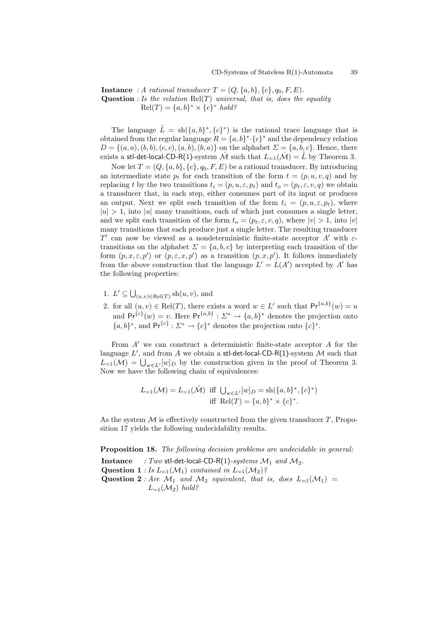**Instance** : A rational transducer  $T = (Q, \{a, b\}, \{c\}, q_0, F, E)$ *.* **Question** *: Is the relation* Rel(*T*) *universal, that is, does the equality*  $\text{Rel}(T) = \{a, b\}^* \times \{c\}^* \text{ hold?}$ 

The language  $\hat{L} = \text{sh}(\{a, b\}^*, \{c\}^*)$  is the rational trace language that is obtained from the regular language  $R = \{a, b\}^* \cdot \{c\}^*$  and the dependency relation  $D = \{(a, a), (b, b), (c, c), (a, b), (b, a)\}$  on the alphabet  $\Sigma = \{a, b, c\}$ . Hence, there exists a stl-det-local-CD-R(1)-system  $\hat{\mathcal{M}}$  such that  $L_{=1}(\hat{\mathcal{M}}) = \hat{L}$  by Theorem 3.

Now let  $T = (Q, \{a, b\}, \{c\}, q_0, F, E)$  be a rational transducer. By introducing an intermediate state  $p_t$  for each transition of the form  $t = (p, u, v, q)$  and by replacing *t* by the two transitions  $t_i = (p, u, \varepsilon, p_t)$  and  $t_o = (p_t, \varepsilon, v, q)$  we obtain a transducer that, in each step, either consumes part of its input or produces an output. Next we split each transition of the form  $t_i = (p, u, \varepsilon, p_t)$ , where  $|u| > 1$ , into  $|u|$  many transitions, each of which just consumes a single letter, and we split each transition of the form  $t_o = (p_t, \varepsilon, v, q)$ , where  $|v| > 1$ , into  $|v|$ many transitions that each produce just a single letter. The resulting transducer *T ′* can now be viewed as a nondeterministic finite-state acceptor *A′* with *ε*transitions on the alphabet  $\Sigma = \{a, b, c\}$  by interpreting each transition of the form  $(p, x, \varepsilon, p')$  or  $(p, \varepsilon, x, p')$  as a transition  $(p, x, p')$ . It follows immediately from the above construction that the language  $L' = L(A')$  accepted by A<sup>*'*</sup> has the following properties:

- 1.  $L' \subseteq \bigcup_{(u,v)\in \text{Rel}(T)} \text{sh}(u, v)$ , and
- 2. for all  $(u, v) \in \text{Rel}(T)$ , there exists a word  $w \in L'$  such that  $\text{Pr}^{\{a, b\}}(w) = u$ and  $Pr^{\{c\}}(w) = v$ . Here  $Pr^{\{a,b\}}: \Sigma^* \to \{a,b\}^*$  denotes the projection onto  ${a,b}^*$ , and  $Pr{^{c}^{\dagger}}: \Sigma^* \to {c}^*$  denotes the projection onto  ${c}^*$ .

From *A′* we can construct a deterministic finite-state acceptor *A* for the language  $L'$ , and from  $A$  we obtain a stl-det-local-CD-R(1)-system  $\mathcal M$  such that  $L_{=1}(\mathcal{M}) = \bigcup_{w \in L'} [w]_D$  by the construction given in the proof of Theorem 3. Now we have the following chain of equivalences:

$$
L_{=1}(\mathcal{M}) = L_{=1}(\hat{\mathcal{M}}) \text{ iff } \bigcup_{w \in L'} [w]_D = \text{sh}(\{a, b\}^*, \{c\}^*)
$$
  
iff 
$$
\text{Rel}(T) = \{a, b\}^* \times \{c\}^*.
$$

As the system *M* is effectively constructed from the given transducer *T*, Proposition 17 yields the following undecidability results.

**Proposition 18.** *The following decision problems are undecidable in general:*

**Instance** *: Two* stl-det-local-CD-R(1)*-systems*  $M_1$  *and*  $M_2$ . **Question 1** *: Is*  $L_{=1}(\mathcal{M}_1)$  *contained in*  $L_{=1}(\mathcal{M}_2)$ *?* **Question 2** *: Are*  $\mathcal{M}_1$  *and*  $\mathcal{M}_2$  *equivalent, that is, does*  $L_{=1}(\mathcal{M}_1)$  =  $L_{=1}(\mathcal{M}_2)$  *hold?*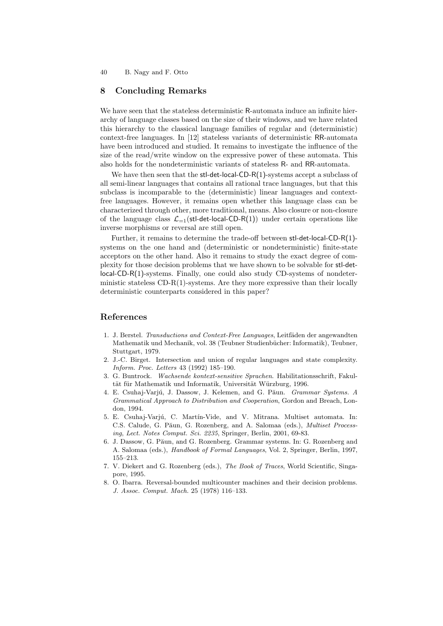# **8 Concluding Remarks**

We have seen that the stateless deterministic R-automata induce an infinite hierarchy of language classes based on the size of their windows, and we have related this hierarchy to the classical language families of regular and (deterministic) context-free languages. In [12] stateless variants of deterministic RR-automata have been introduced and studied. It remains to investigate the influence of the size of the read/write window on the expressive power of these automata. This also holds for the nondeterministic variants of stateless R- and RR-automata.

We have then seen that the  $st$ -det-local-CD-R $(1)$ -systems accept a subclass of all semi-linear languages that contains all rational trace languages, but that this subclass is incomparable to the (deterministic) linear languages and contextfree languages. However, it remains open whether this language class can be characterized through other, more traditional, means. Also closure or non-closure of the language class  $\mathcal{L}_{-1}$ (stl-det-local-CD-R(1)) under certain operations like inverse morphisms or reversal are still open.

Further, it remains to determine the trade-off between stl-det-local-CD-R(1) systems on the one hand and (deterministic or nondeterministic) finite-state acceptors on the other hand. Also it remains to study the exact degree of complexity for those decision problems that we have shown to be solvable for stl-detlocal-CD-R(1)-systems. Finally, one could also study CD-systems of nondeterministic stateless  $CD-R(1)$ -systems. Are they more expressive than their locally deterministic counterparts considered in this paper?

# **References**

- 1. J. Berstel. *Transductions and Context-Free Languages*, Leitfäden der angewandten Mathematik und Mechanik, vol. 38 (Teubner Studienbücher: Informatik), Teubner, Stuttgart, 1979.
- 2. J.-C. Birget. Intersection and union of regular languages and state complexity. *Inform. Proc. Letters* 43 (1992) 185–190.
- 3. G. Buntrock. *Wachsende kontext-sensitive Sprachen*. Habilitationsschrift, Fakultät für Mathematik und Informatik, Universität Würzburg, 1996.
- 4. E. Csuhaj-Varj´u, J. Dassow, J. Kelemen, and G. P˘aun. *Grammar Systems. A Grammatical Approach to Distribution and Cooperation*, Gordon and Breach, London, 1994.
- 5. E. Csuhaj-Varjú, C. Martín-Vide, and V. Mitrana. Multiset automata. In: C.S. Calude, G. Păun, G. Rozenberg, and A. Salomaa (eds.), *Multiset Processing*, *Lect. Notes Comput. Sci. 2235*, Springer, Berlin, 2001, 69-83.
- 6. J. Dassow, G. Păun, and G. Rozenberg. Grammar systems. In: G. Rozenberg and A. Salomaa (eds.), *Handbook of Formal Languages*, Vol. 2, Springer, Berlin, 1997, 155–213.
- 7. V. Diekert and G. Rozenberg (eds.), *The Book of Traces*, World Scientific, Singapore, 1995.
- 8. O. Ibarra. Reversal-bounded multicounter machines and their decision problems. *J. Assoc. Comput. Mach.* 25 (1978) 116–133.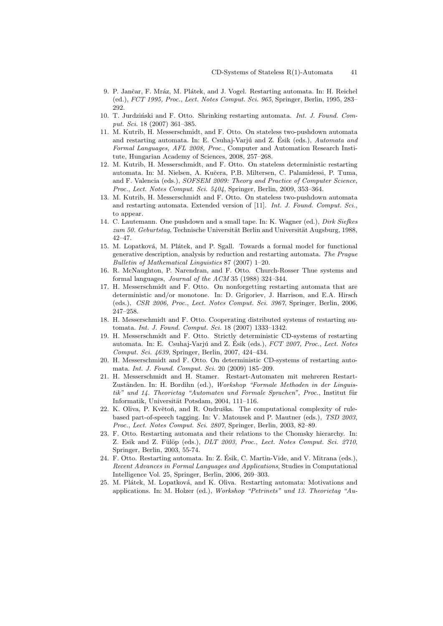- 9. P. Jančar, F. Mráz, M. Plátek, and J. Vogel. Restarting automata. In: H. Reichel (ed.), *FCT 1995, Proc.*, *Lect. Notes Comput. Sci. 965*, Springer, Berlin, 1995, 283– 292.
- 10. T. Jurdziński and F. Otto. Shrinking restarting automata. *Int. J. Found. Comput. Sci.* 18 (2007) 361–385.
- 11. M. Kutrib, H. Messerschmidt, and F. Otto. On stateless two-pushdown automata and restarting automata. In: E. Csuhaj-Varjú and Z. Ésik (eds.), *Automata and Formal Languages, AFL 2008, Proc.*, Computer and Automation Research Institute, Hungarian Academy of Sciences, 2008, 257–268.
- 12. M. Kutrib, H. Messerschmidt, and F. Otto. On stateless deterministic restarting automata. In: M. Nielsen, A. Kuˇcera, P.B. Miltersen, C. Palamidessi, P. Tuma, and F. Valencia (eds.), *SOFSEM 2009: Theory and Practice of Computer Science, Proc.*, *Lect. Notes Comput. Sci. 5404*, Springer, Berlin, 2009, 353–364.
- 13. M. Kutrib, H. Messerschmidt and F. Otto. On stateless two-pushdown automata and restarting automata. Extended version of [11]. *Int. J. Found. Comput. Sci.*, to appear.
- 14. C. Lautemann. One pushdown and a small tape. In: K. Wagner (ed.), *Dirk Siefkes* zum 50. Geburtstag, Technische Universität Berlin and Universität Augsburg, 1988, 42–47.
- 15. M. Lopatková, M. Plátek, and P. Sgall. Towards a formal model for functional generative description, analysis by reduction and restarting automata. *The Prague Bulletin of Mathematical Linguistics* 87 (2007) 1–20.
- 16. R. McNaughton, P. Narendran, and F. Otto. Church-Rosser Thue systems and formal languages, *Journal of the ACM* 35 (1988) 324–344.
- 17. H. Messerschmidt and F. Otto. On nonforgetting restarting automata that are deterministic and/or monotone. In: D. Grigoriev, J. Harrison, and E.A. Hirsch (eds.), *CSR 2006, Proc.*, *Lect. Notes Comput. Sci. 3967*, Springer, Berlin, 2006, 247–258.
- 18. H. Messerschmidt and F. Otto. Cooperating distributed systems of restarting automata. *Int. J. Found. Comput. Sci.* 18 (2007) 1333–1342.
- 19. H. Messerschmidt and F. Otto. Strictly deterministic CD-systems of restarting automata. In: E. Csuhaj-Varjú and Z. Ésik (eds.),  $FCT$  2007, Proc., Lect. Notes *Comput. Sci. 4639*, Springer, Berlin, 2007, 424–434.
- 20. H. Messerschmidt and F. Otto. On deterministic CD-systems of restarting automata. *Int. J. Found. Comput. Sci.* 20 (2009) 185–209.
- 21. H. Messerschmidt and H. Stamer. Restart-Automaten mit mehreren Restart-Zuständen. In: H. Bordihn (ed.), *Workshop "Formale Methoden in der Linguistik" und 14. Theorietag "Automaten und Formale Sprachen", Proc.*, Institut für Informatik, Universität Potsdam, 2004, 111-116.
- 22. K. Oliva, P. Květoň, and R. Ondruška. The computational complexity of rulebased part-of-speech tagging. In: V. Matousek and P. Mautner (eds.), *TSD 2003, Proc.*, *Lect. Notes Comput. Sci. 2807*, Springer, Berlin, 2003, 82–89.
- 23. F. Otto. Restarting automata and their relations to the Chomsky hierarchy. In: Z. Esik and Z. Fülöp (eds.), *DLT 2003*, Proc., *Lect. Notes Comput. Sci. 2710*, Springer, Berlin, 2003, 55-74.
- 24. F. Otto. Restarting automata. In: Z. Esik, C. Martin-Vide, and V. Mitrana (eds.), ´ *Recent Advances in Formal Languages and Applications*, Studies in Computational Intelligence Vol. 25, Springer, Berlin, 2006, 269–303.
- 25. M. Plátek, M. Lopatková, and K. Oliva. Restarting automata: Motivations and applications. In: M. Holzer (ed.), *Workshop "Petrinets" und 13. Theorietag "Au-*